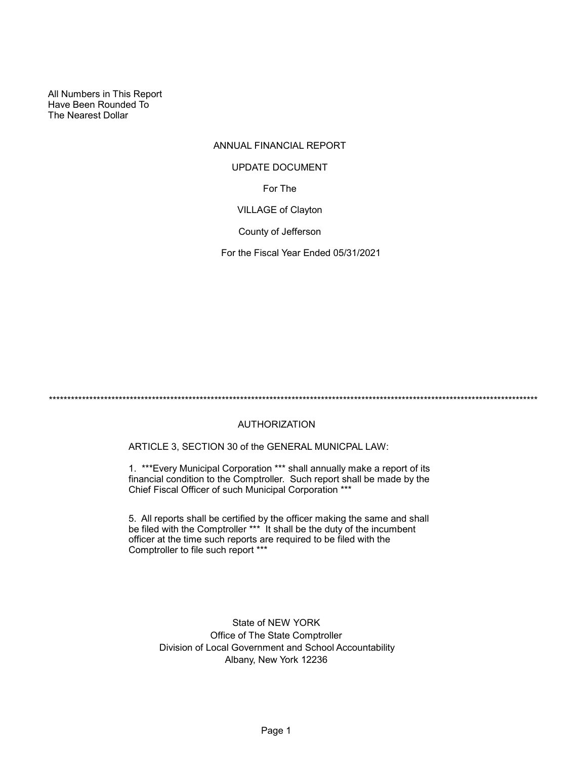All Numbers in This Report Have Been Rounded To The Nearest Dollar

# ANNUAL FINANCIAL REPORT For The VILLAGE of Clayton UPDATE DOCUMENT

County of Jefferson

For the Fiscal Year Ended 05/31/2021

\*\*\*\*\*\*\*\*\*\*\*\*\*\*\*\*\*\*\*\*\*\*\*\*\*\*\*\*\*\*\*\*\*\*\*\*\*\*\*\*\*\*\*\*\*\*\*\*\*\*\*\*\*\*\*\*\*\*\*\*\*\*\*\*\*\*\*\*\*\*\*\*\*\*\*\*\*\*\*\*\*\*\*\*\*\*\*\*\*\*\*\*\*\*\*\*\*\*\*\*\*\*\*\*\*\*\*\*\*\*\*\*\*\*\*\*\*\*\*\*\*\*\*\*\*\*\*\*\*\*\*\*\*

# AUTHORIZATION

ARTICLE 3, SECTION 30 of the GENERAL MUNICPAL LAW:

1. \*\*\*Every Municipal Corporation \*\*\* shall annually make a report of its financial condition to the Comptroller. Such report shall be made by the Chief Fiscal Officer of such Municipal Corporation \*\*\*

5. All reports shall be certified by the officer making the same and shall be filed with the Comptroller \*\*\* It shall be the duty of the incumbent officer at the time such reports are required to be filed with the Comptroller to file such report \*\*\*

> State of NEW YORK Office of The State Comptroller Division of Local Government and School Accountability Albany, New York 12236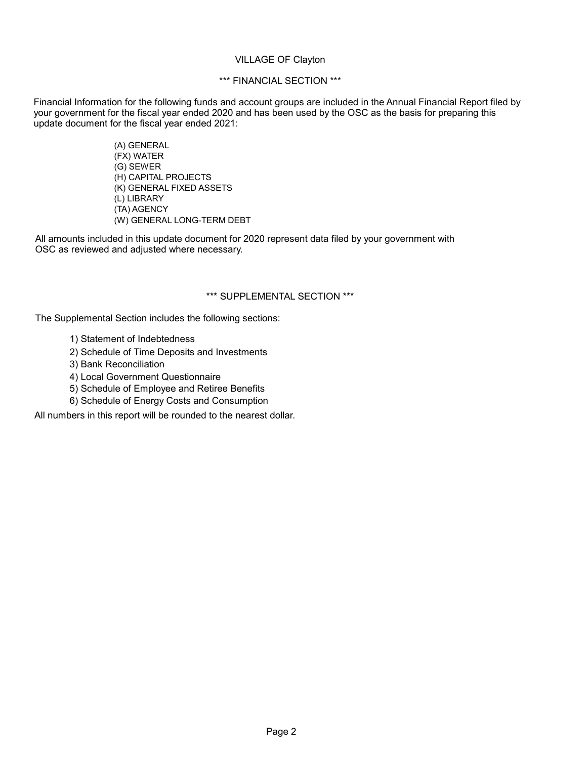#### VILLAGE OF Clayton

# \*\*\* FINANCIAL SECTION \*\*\*

Financial Information for the following funds and account groups are included in the Annual Financial Report filed by your government for the fiscal year ended 2020 and has been used by the OSC as the basis for preparing this update document for the fiscal year ended 2021:

> (A) GENERAL (FX) WATER (G) SEWER (H) CAPITAL PROJECTS (K) GENERAL FIXED ASSETS (L) LIBRARY (TA) AGENCY (W) GENERAL LONG-TERM DEBT

All amounts included in this update document for 2020 represent data filed by your government with OSC as reviewed and adjusted where necessary.

#### \*\*\* SUPPLEMENTAL SECTION \*\*\*

The Supplemental Section includes the following sections:

- 1) Statement of Indebtedness
- 2) Schedule of Time Deposits and Investments
- 3) Bank Reconciliation
- 4) Local Government Questionnaire
- 5) Schedule of Employee and Retiree Benefits
- 6) Schedule of Energy Costs and Consumption

All numbers in this report will be rounded to the nearest dollar.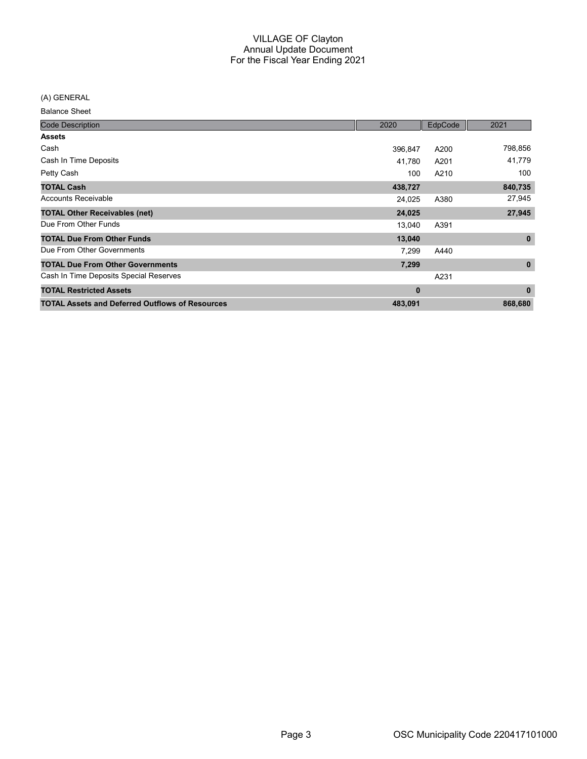(A) GENERAL

| <b>Code Description</b>                                | 2020    | EdpCode | 2021         |
|--------------------------------------------------------|---------|---------|--------------|
| <b>Assets</b>                                          |         |         |              |
| Cash                                                   | 396,847 | A200    | 798,856      |
| Cash In Time Deposits                                  | 41.780  | A201    | 41,779       |
| Petty Cash                                             | 100     | A210    | 100          |
| <b>TOTAL Cash</b>                                      | 438,727 |         | 840,735      |
| <b>Accounts Receivable</b>                             | 24,025  | A380    | 27,945       |
| <b>TOTAL Other Receivables (net)</b>                   | 24,025  |         | 27,945       |
| Due From Other Funds                                   | 13,040  | A391    |              |
| <b>TOTAL Due From Other Funds</b>                      | 13,040  |         | $\mathbf 0$  |
| Due From Other Governments                             | 7,299   | A440    |              |
| <b>TOTAL Due From Other Governments</b>                | 7,299   |         | $\mathbf{0}$ |
| Cash In Time Deposits Special Reserves                 |         | A231    |              |
| <b>TOTAL Restricted Assets</b>                         | 0       |         | $\mathbf{0}$ |
| <b>TOTAL Assets and Deferred Outflows of Resources</b> | 483,091 |         | 868,680      |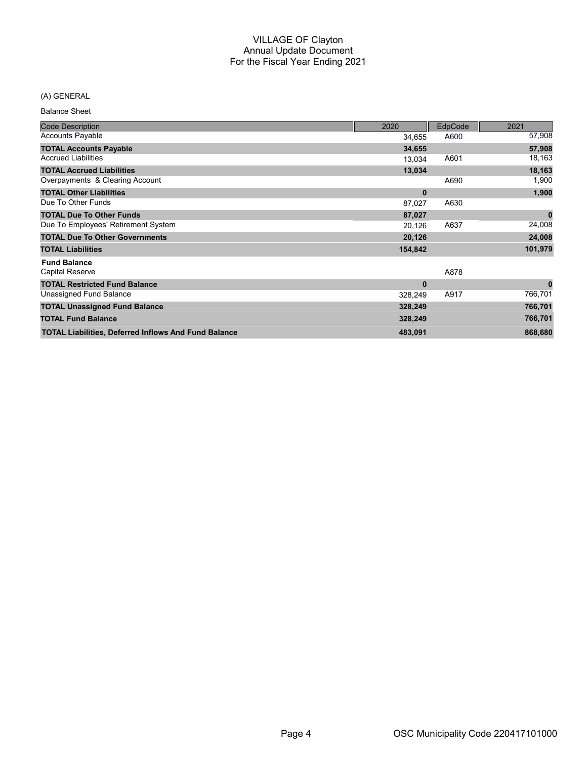# (A) GENERAL

| <b>Code Description</b>                                     | 2020     | <b>EdpCode</b> | 2021     |
|-------------------------------------------------------------|----------|----------------|----------|
| <b>Accounts Payable</b>                                     | 34,655   | A600           | 57,908   |
| <b>TOTAL Accounts Payable</b>                               | 34,655   |                | 57,908   |
| <b>Accrued Liabilities</b>                                  | 13,034   | A601           | 18,163   |
| <b>TOTAL Accrued Liabilities</b>                            | 13,034   |                | 18,163   |
| Overpayments & Clearing Account                             |          | A690           | 1,900    |
| <b>TOTAL Other Liabilities</b>                              | $\bf{0}$ |                | 1,900    |
| Due To Other Funds                                          | 87,027   | A630           |          |
| <b>TOTAL Due To Other Funds</b>                             | 87,027   |                | $\bf{0}$ |
| Due To Employees' Retirement System                         | 20,126   | A637           | 24,008   |
| <b>TOTAL Due To Other Governments</b>                       | 20,126   |                | 24,008   |
| <b>TOTAL Liabilities</b>                                    | 154,842  |                | 101,979  |
| <b>Fund Balance</b>                                         |          |                |          |
| Capital Reserve                                             |          | A878           |          |
| <b>TOTAL Restricted Fund Balance</b>                        | $\bf{0}$ |                | $\bf{0}$ |
| Unassigned Fund Balance                                     | 328,249  | A917           | 766,701  |
| <b>TOTAL Unassigned Fund Balance</b>                        | 328,249  |                | 766,701  |
| <b>TOTAL Fund Balance</b>                                   | 328,249  |                | 766,701  |
| <b>TOTAL Liabilities, Deferred Inflows And Fund Balance</b> | 483,091  |                | 868,680  |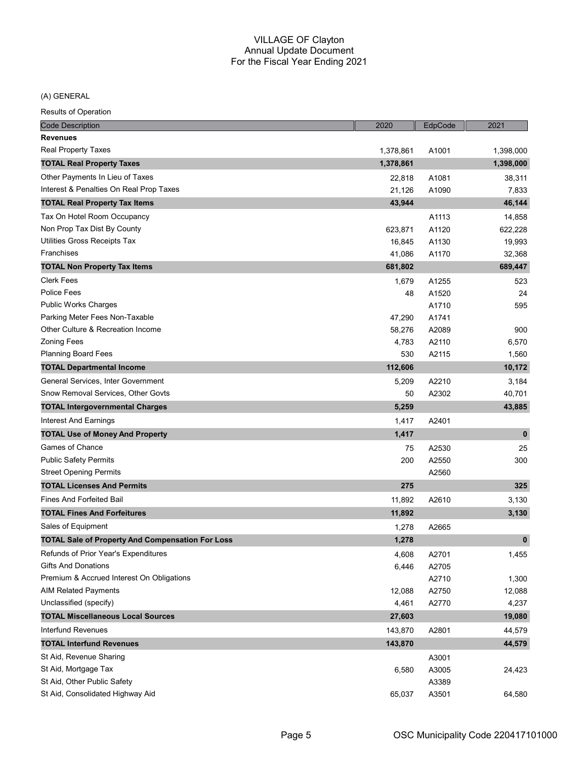(A) GENERAL

| <b>Code Description</b>                                 | 2020      | EdpCode | 2021        |
|---------------------------------------------------------|-----------|---------|-------------|
| <b>Revenues</b>                                         |           |         |             |
| <b>Real Property Taxes</b>                              | 1,378,861 | A1001   | 1,398,000   |
| <b>TOTAL Real Property Taxes</b>                        | 1,378,861 |         | 1,398,000   |
| Other Payments In Lieu of Taxes                         | 22,818    | A1081   | 38,311      |
| Interest & Penalties On Real Prop Taxes                 | 21,126    | A1090   | 7,833       |
| <b>TOTAL Real Property Tax Items</b>                    | 43,944    |         | 46,144      |
| Tax On Hotel Room Occupancy                             |           | A1113   | 14,858      |
| Non Prop Tax Dist By County                             | 623,871   | A1120   | 622,228     |
| Utilities Gross Receipts Tax                            | 16,845    | A1130   | 19,993      |
| Franchises                                              | 41,086    | A1170   | 32,368      |
| <b>TOTAL Non Property Tax Items</b>                     | 681,802   |         | 689,447     |
| <b>Clerk Fees</b>                                       | 1,679     | A1255   | 523         |
| <b>Police Fees</b>                                      | 48        | A1520   | 24          |
| <b>Public Works Charges</b>                             |           | A1710   | 595         |
| Parking Meter Fees Non-Taxable                          | 47,290    | A1741   |             |
| Other Culture & Recreation Income                       | 58,276    | A2089   | 900         |
| <b>Zoning Fees</b>                                      | 4,783     | A2110   | 6,570       |
| <b>Planning Board Fees</b>                              | 530       | A2115   | 1,560       |
| <b>TOTAL Departmental Income</b>                        | 112,606   |         | 10,172      |
| General Services, Inter Government                      | 5,209     | A2210   | 3,184       |
| Snow Removal Services, Other Govts                      | 50        | A2302   | 40,701      |
| <b>TOTAL Intergovernmental Charges</b>                  | 5,259     |         | 43,885      |
| Interest And Earnings                                   | 1,417     | A2401   |             |
| <b>TOTAL Use of Money And Property</b>                  | 1,417     |         | $\mathbf 0$ |
| Games of Chance                                         | 75        | A2530   | 25          |
| <b>Public Safety Permits</b>                            | 200       | A2550   | 300         |
| <b>Street Opening Permits</b>                           |           | A2560   |             |
| <b>TOTAL Licenses And Permits</b>                       | 275       |         | 325         |
| <b>Fines And Forfeited Bail</b>                         | 11,892    | A2610   | 3,130       |
| <b>TOTAL Fines And Forfeitures</b>                      | 11,892    |         | 3,130       |
| Sales of Equipment                                      | 1,278     | A2665   |             |
| <b>TOTAL Sale of Property And Compensation For Loss</b> | 1,278     |         | $\mathbf 0$ |
| Refunds of Prior Year's Expenditures                    | 4,608     | A2701   | 1,455       |
| <b>Gifts And Donations</b>                              | 6,446     | A2705   |             |
| Premium & Accrued Interest On Obligations               |           | A2710   | 1,300       |
| <b>AIM Related Payments</b>                             | 12,088    | A2750   | 12,088      |
| Unclassified (specify)                                  | 4,461     | A2770   | 4,237       |
| <b>TOTAL Miscellaneous Local Sources</b>                | 27,603    |         | 19,080      |
| Interfund Revenues                                      | 143,870   | A2801   | 44,579      |
| <b>TOTAL Interfund Revenues</b>                         | 143,870   |         | 44,579      |
| St Aid, Revenue Sharing                                 |           | A3001   |             |
| St Aid, Mortgage Tax                                    | 6,580     | A3005   | 24,423      |
| St Aid, Other Public Safety                             |           | A3389   |             |
| St Aid, Consolidated Highway Aid                        | 65,037    | A3501   | 64,580      |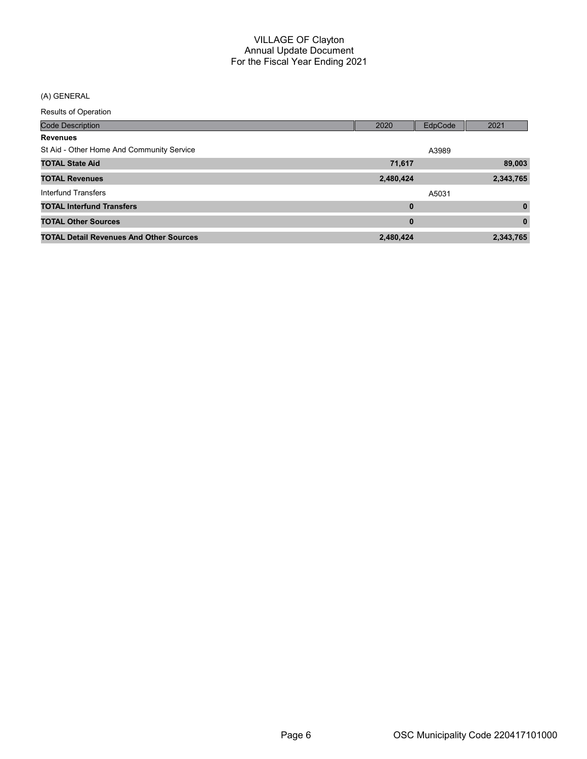(A) GENERAL

| <b>Code Description</b>                        | 2020      | EdpCode | 2021         |
|------------------------------------------------|-----------|---------|--------------|
| <b>Revenues</b>                                |           |         |              |
| St Aid - Other Home And Community Service      |           | A3989   |              |
| <b>TOTAL State Aid</b>                         | 71,617    |         | 89,003       |
| <b>TOTAL Revenues</b>                          | 2,480,424 |         | 2,343,765    |
| Interfund Transfers                            |           | A5031   |              |
| <b>TOTAL Interfund Transfers</b>               | $\bf{0}$  |         | $\mathbf{0}$ |
| <b>TOTAL Other Sources</b>                     | $\bf{0}$  |         | $\bf{0}$     |
| <b>TOTAL Detail Revenues And Other Sources</b> | 2,480,424 |         | 2,343,765    |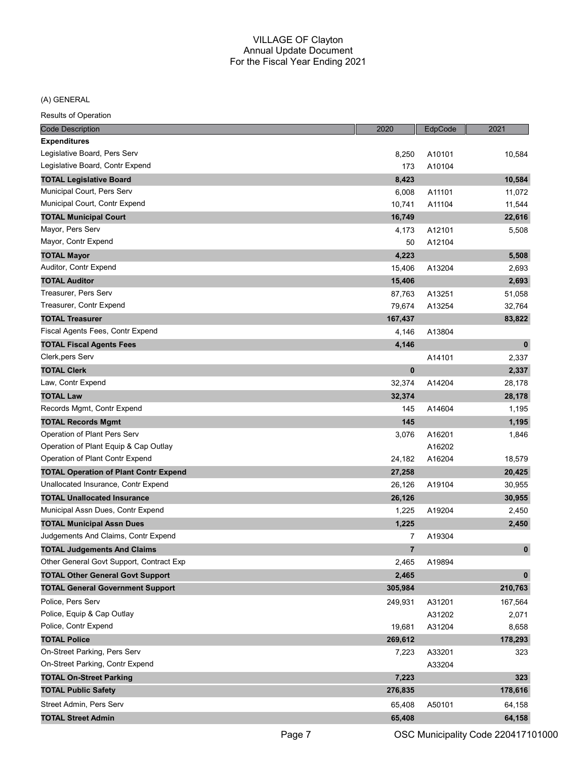#### (A) GENERAL

| <b>Code Description</b>                      | 2020           | EdpCode | 2021         |
|----------------------------------------------|----------------|---------|--------------|
| <b>Expenditures</b>                          |                |         |              |
| Legislative Board, Pers Serv                 | 8,250          | A10101  | 10,584       |
| Legislative Board, Contr Expend              | 173            | A10104  |              |
| <b>TOTAL Legislative Board</b>               | 8,423          |         | 10,584       |
| Municipal Court, Pers Serv                   | 6,008          | A11101  | 11,072       |
| Municipal Court, Contr Expend                | 10,741         | A11104  | 11,544       |
| <b>TOTAL Municipal Court</b>                 | 16,749         |         | 22,616       |
| Mayor, Pers Serv                             | 4,173          | A12101  | 5,508        |
| Mayor, Contr Expend                          | 50             | A12104  |              |
| <b>TOTAL Mayor</b>                           | 4,223          |         | 5,508        |
| Auditor, Contr Expend                        | 15,406         | A13204  | 2,693        |
| <b>TOTAL Auditor</b>                         | 15,406         |         | 2,693        |
| Treasurer, Pers Serv                         | 87,763         | A13251  | 51,058       |
| Treasurer, Contr Expend                      | 79,674         | A13254  | 32,764       |
| <b>TOTAL Treasurer</b>                       | 167,437        |         | 83,822       |
| Fiscal Agents Fees, Contr Expend             | 4,146          | A13804  |              |
| <b>TOTAL Fiscal Agents Fees</b>              | 4,146          |         | $\mathbf 0$  |
| Clerk, pers Serv                             |                | A14101  | 2,337        |
| <b>TOTAL Clerk</b>                           | $\bf{0}$       |         | 2,337        |
| Law, Contr Expend                            | 32,374         | A14204  | 28,178       |
| <b>TOTAL Law</b>                             | 32,374         |         | 28,178       |
| Records Mgmt, Contr Expend                   | 145            | A14604  | 1,195        |
| <b>TOTAL Records Mgmt</b>                    | 145            |         | 1,195        |
| Operation of Plant Pers Serv                 | 3,076          | A16201  | 1,846        |
| Operation of Plant Equip & Cap Outlay        |                | A16202  |              |
| Operation of Plant Contr Expend              | 24,182         | A16204  | 18,579       |
| <b>TOTAL Operation of Plant Contr Expend</b> | 27,258         |         | 20,425       |
| Unallocated Insurance, Contr Expend          | 26,126         | A19104  | 30,955       |
| <b>TOTAL Unallocated Insurance</b>           | 26,126         |         | 30,955       |
| Municipal Assn Dues, Contr Expend            | 1,225          | A19204  | 2,450        |
| <b>TOTAL Municipal Assn Dues</b>             | 1,225          |         | 2,450        |
| Judgements And Claims, Contr Expend          | 7              | A19304  |              |
| <b>TOTAL Judgements And Claims</b>           | $\overline{7}$ |         | $\mathbf{0}$ |
| Other General Govt Support, Contract Exp     | 2,465          | A19894  |              |
| <b>TOTAL Other General Govt Support</b>      | 2,465          |         | $\mathbf 0$  |
| <b>TOTAL General Government Support</b>      | 305,984        |         | 210,763      |
| Police, Pers Serv                            | 249,931        | A31201  | 167,564      |
| Police, Equip & Cap Outlay                   |                | A31202  | 2,071        |
| Police, Contr Expend                         | 19,681         | A31204  | 8,658        |
| <b>TOTAL Police</b>                          | 269,612        |         | 178,293      |
| On-Street Parking, Pers Serv                 | 7,223          | A33201  | 323          |
| On-Street Parking, Contr Expend              |                | A33204  |              |
| <b>TOTAL On-Street Parking</b>               | 7,223          |         | 323          |
| <b>TOTAL Public Safety</b>                   | 276,835        |         | 178,616      |
| Street Admin, Pers Serv                      | 65,408         | A50101  | 64,158       |
| <b>TOTAL Street Admin</b>                    | 65,408         |         | 64,158       |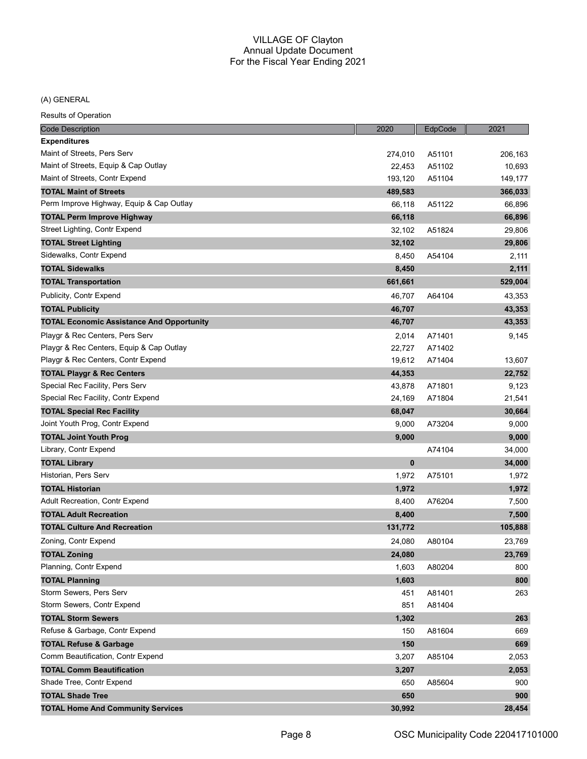# (A) GENERAL

| <b>Code Description</b>                          | 2020     | EdpCode | 2021    |
|--------------------------------------------------|----------|---------|---------|
| <b>Expenditures</b>                              |          |         |         |
| Maint of Streets, Pers Serv                      | 274,010  | A51101  | 206,163 |
| Maint of Streets, Equip & Cap Outlay             | 22,453   | A51102  | 10,693  |
| Maint of Streets, Contr Expend                   | 193,120  | A51104  | 149,177 |
| <b>TOTAL Maint of Streets</b>                    | 489,583  |         | 366,033 |
| Perm Improve Highway, Equip & Cap Outlay         | 66,118   | A51122  | 66,896  |
| <b>TOTAL Perm Improve Highway</b>                | 66,118   |         | 66,896  |
| Street Lighting, Contr Expend                    | 32,102   | A51824  | 29,806  |
| <b>TOTAL Street Lighting</b>                     | 32,102   |         | 29,806  |
| Sidewalks, Contr Expend                          | 8,450    | A54104  | 2,111   |
| <b>TOTAL Sidewalks</b>                           | 8,450    |         | 2,111   |
| <b>TOTAL Transportation</b>                      | 661,661  |         | 529,004 |
| Publicity, Contr Expend                          | 46,707   | A64104  | 43,353  |
| <b>TOTAL Publicity</b>                           | 46,707   |         | 43,353  |
| <b>TOTAL Economic Assistance And Opportunity</b> | 46,707   |         | 43,353  |
| Playgr & Rec Centers, Pers Serv                  | 2,014    | A71401  | 9,145   |
| Playgr & Rec Centers, Equip & Cap Outlay         | 22,727   | A71402  |         |
| Playgr & Rec Centers, Contr Expend               | 19,612   | A71404  | 13,607  |
| <b>TOTAL Playgr &amp; Rec Centers</b>            | 44,353   |         | 22,752  |
| Special Rec Facility, Pers Serv                  | 43,878   | A71801  | 9,123   |
| Special Rec Facility, Contr Expend               | 24,169   | A71804  | 21,541  |
| <b>TOTAL Special Rec Facility</b>                | 68,047   |         | 30,664  |
| Joint Youth Prog, Contr Expend                   | 9,000    | A73204  | 9,000   |
| <b>TOTAL Joint Youth Prog</b>                    | 9,000    |         | 9,000   |
| Library, Contr Expend                            |          | A74104  | 34,000  |
| <b>TOTAL Library</b>                             | $\bf{0}$ |         | 34,000  |
| Historian, Pers Serv                             | 1,972    | A75101  | 1,972   |
| <b>TOTAL Historian</b>                           | 1,972    |         | 1,972   |
| Adult Recreation, Contr Expend                   | 8,400    | A76204  | 7,500   |
| <b>TOTAL Adult Recreation</b>                    | 8,400    |         | 7,500   |
| <b>TOTAL Culture And Recreation</b>              | 131,772  |         | 105,888 |
| Zoning, Contr Expend                             | 24,080   | A80104  | 23,769  |
| <b>TOTAL Zoning</b>                              | 24,080   |         | 23,769  |
| Planning, Contr Expend                           | 1,603    | A80204  | 800     |
| <b>TOTAL Planning</b>                            | 1,603    |         | 800     |
| Storm Sewers, Pers Serv                          | 451      | A81401  | 263     |
| Storm Sewers, Contr Expend                       | 851      | A81404  |         |
| <b>TOTAL Storm Sewers</b>                        | 1,302    |         | 263     |
| Refuse & Garbage, Contr Expend                   | 150      | A81604  | 669     |
| <b>TOTAL Refuse &amp; Garbage</b>                | 150      |         | 669     |
| Comm Beautification, Contr Expend                | 3,207    | A85104  | 2,053   |
| <b>TOTAL Comm Beautification</b>                 | 3,207    |         | 2,053   |
| Shade Tree, Contr Expend                         | 650      | A85604  | 900     |
| <b>TOTAL Shade Tree</b>                          | 650      |         | 900     |
| <b>TOTAL Home And Community Services</b>         | 30,992   |         | 28,454  |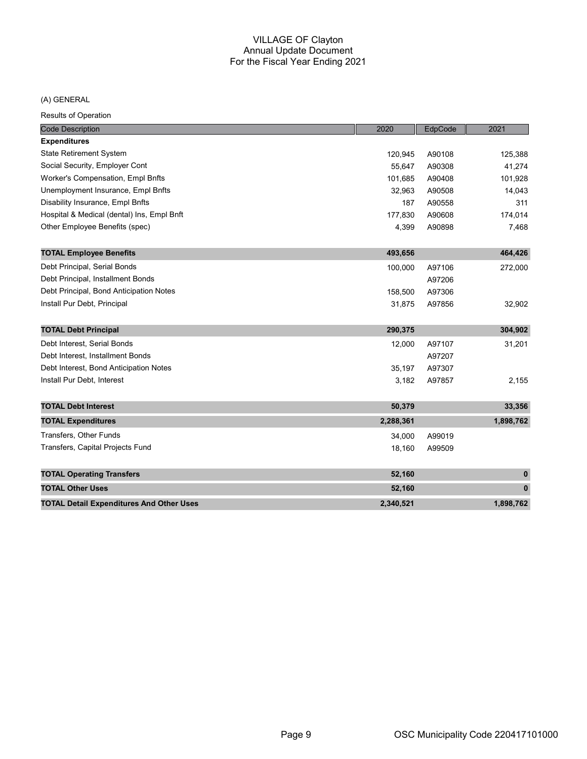# (A) GENERAL

| <b>Code Description</b>                         | 2020      | EdpCode | 2021        |
|-------------------------------------------------|-----------|---------|-------------|
| <b>Expenditures</b>                             |           |         |             |
| <b>State Retirement System</b>                  | 120,945   | A90108  | 125,388     |
| Social Security, Employer Cont                  | 55,647    | A90308  | 41,274      |
| Worker's Compensation, Empl Bnfts               | 101,685   | A90408  | 101,928     |
| Unemployment Insurance, Empl Bnfts              | 32,963    | A90508  | 14,043      |
| Disability Insurance, Empl Bnfts                | 187       | A90558  | 311         |
| Hospital & Medical (dental) Ins, Empl Bnft      | 177,830   | A90608  | 174,014     |
| Other Employee Benefits (spec)                  | 4,399     | A90898  | 7,468       |
| <b>TOTAL Employee Benefits</b>                  | 493,656   |         | 464,426     |
| Debt Principal, Serial Bonds                    | 100,000   | A97106  | 272,000     |
| Debt Principal, Installment Bonds               |           | A97206  |             |
| Debt Principal, Bond Anticipation Notes         | 158,500   | A97306  |             |
| Install Pur Debt, Principal                     | 31,875    | A97856  | 32,902      |
| <b>TOTAL Debt Principal</b>                     | 290,375   |         | 304,902     |
| Debt Interest. Serial Bonds                     | 12,000    | A97107  | 31,201      |
| Debt Interest, Installment Bonds                |           | A97207  |             |
| Debt Interest, Bond Anticipation Notes          | 35,197    | A97307  |             |
| Install Pur Debt, Interest                      | 3,182     | A97857  | 2,155       |
| <b>TOTAL Debt Interest</b>                      | 50,379    |         | 33,356      |
| <b>TOTAL Expenditures</b>                       | 2,288,361 |         | 1,898,762   |
| Transfers, Other Funds                          | 34,000    | A99019  |             |
| Transfers, Capital Projects Fund                | 18,160    | A99509  |             |
| <b>TOTAL Operating Transfers</b>                | 52,160    |         | $\mathbf 0$ |
| <b>TOTAL Other Uses</b>                         | 52,160    |         | $\pmb{0}$   |
| <b>TOTAL Detail Expenditures And Other Uses</b> | 2,340,521 |         | 1,898,762   |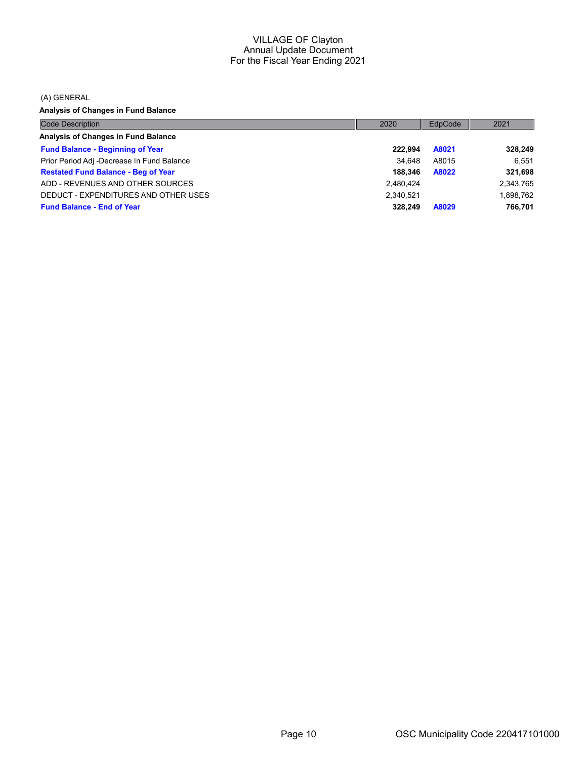(A) GENERAL

Analysis of Changes in Fund Balance

| <b>Code Description</b>                    | 2020      | EdpCode | 2021      |
|--------------------------------------------|-----------|---------|-----------|
| Analysis of Changes in Fund Balance        |           |         |           |
| <b>Fund Balance - Beginning of Year</b>    | 222.994   | A8021   | 328,249   |
| Prior Period Adj -Decrease In Fund Balance | 34.648    | A8015   | 6.551     |
| <b>Restated Fund Balance - Beg of Year</b> | 188.346   | A8022   | 321,698   |
| ADD - REVENUES AND OTHER SOURCES           | 2,480,424 |         | 2,343,765 |
| DEDUCT - EXPENDITURES AND OTHER USES       | 2,340,521 |         | 1,898,762 |
| <b>Fund Balance - End of Year</b>          | 328.249   | A8029   | 766.701   |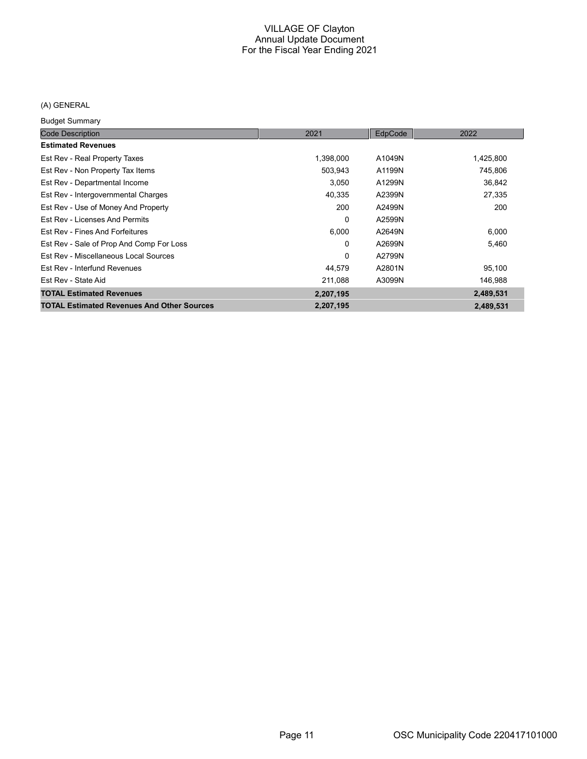# (A) GENERAL

Budget Summary

| baago, bannuary                                   |           |         |           |
|---------------------------------------------------|-----------|---------|-----------|
| <b>Code Description</b>                           | 2021      | EdpCode | 2022      |
| <b>Estimated Revenues</b>                         |           |         |           |
| Est Rev - Real Property Taxes                     | 1,398,000 | A1049N  | 1,425,800 |
| Est Rev - Non Property Tax Items                  | 503.943   | A1199N  | 745,806   |
| Est Rev - Departmental Income                     | 3,050     | A1299N  | 36,842    |
| Est Rev - Intergovernmental Charges               | 40,335    | A2399N  | 27,335    |
| Est Rev - Use of Money And Property               | 200       | A2499N  | 200       |
| Est Rev - Licenses And Permits                    | 0         | A2599N  |           |
| Est Rev - Fines And Forfeitures                   | 6,000     | A2649N  | 6,000     |
| Est Rev - Sale of Prop And Comp For Loss          | 0         | A2699N  | 5,460     |
| Est Rev - Miscellaneous Local Sources             | 0         | A2799N  |           |
| Est Rev - Interfund Revenues                      | 44,579    | A2801N  | 95,100    |
| Est Rev - State Aid                               | 211,088   | A3099N  | 146,988   |
| <b>TOTAL Estimated Revenues</b>                   | 2,207,195 |         | 2,489,531 |
| <b>TOTAL Estimated Revenues And Other Sources</b> | 2,207,195 |         | 2,489,531 |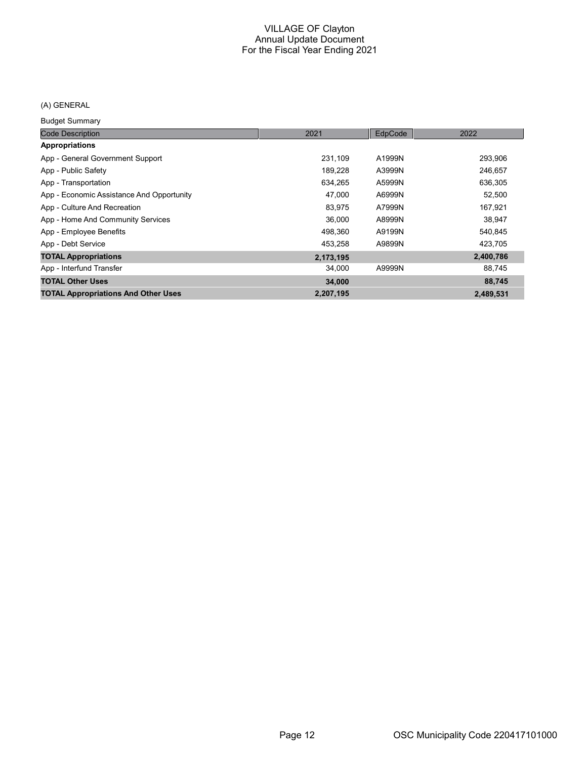# (A) GENERAL

Budget Summary

| <b>Code Description</b>                    | 2021      | EdpCode | 2022      |
|--------------------------------------------|-----------|---------|-----------|
| Appropriations                             |           |         |           |
| App - General Government Support           | 231,109   | A1999N  | 293,906   |
| App - Public Safety                        | 189.228   | A3999N  | 246,657   |
| App - Transportation                       | 634,265   | A5999N  | 636,305   |
| App - Economic Assistance And Opportunity  | 47,000    | A6999N  | 52,500    |
| App - Culture And Recreation               | 83.975    | A7999N  | 167,921   |
| App - Home And Community Services          | 36,000    | A8999N  | 38.947    |
| App - Employee Benefits                    | 498,360   | A9199N  | 540,845   |
| App - Debt Service                         | 453,258   | A9899N  | 423,705   |
| <b>TOTAL Appropriations</b>                | 2,173,195 |         | 2,400,786 |
| App - Interfund Transfer                   | 34,000    | A9999N  | 88,745    |
| <b>TOTAL Other Uses</b>                    | 34,000    |         | 88,745    |
| <b>TOTAL Appropriations And Other Uses</b> | 2,207,195 |         | 2,489,531 |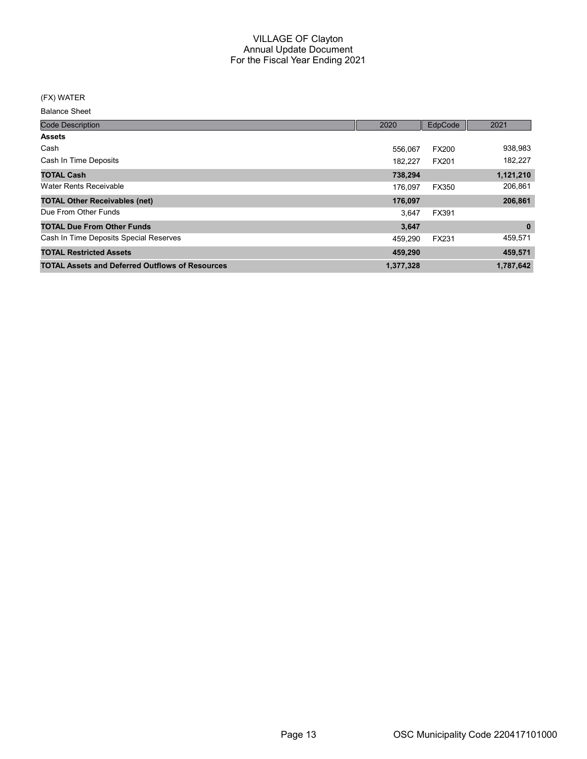#### (FX) WATER

| <b>Code Description</b>                                | 2020      | EdpCode      | 2021         |
|--------------------------------------------------------|-----------|--------------|--------------|
| <b>Assets</b>                                          |           |              |              |
| Cash                                                   | 556.067   | <b>FX200</b> | 938,983      |
| Cash In Time Deposits                                  | 182.227   | FX201        | 182,227      |
| <b>TOTAL Cash</b>                                      | 738,294   |              | 1,121,210    |
| Water Rents Receivable                                 | 176.097   | FX350        | 206,861      |
| <b>TOTAL Other Receivables (net)</b>                   | 176,097   |              | 206,861      |
| Due From Other Funds                                   | 3.647     | FX391        |              |
| <b>TOTAL Due From Other Funds</b>                      | 3,647     |              | $\mathbf{0}$ |
| Cash In Time Deposits Special Reserves                 | 459.290   | <b>FX231</b> | 459,571      |
| <b>TOTAL Restricted Assets</b>                         | 459,290   |              | 459,571      |
| <b>TOTAL Assets and Deferred Outflows of Resources</b> | 1,377,328 |              | 1,787,642    |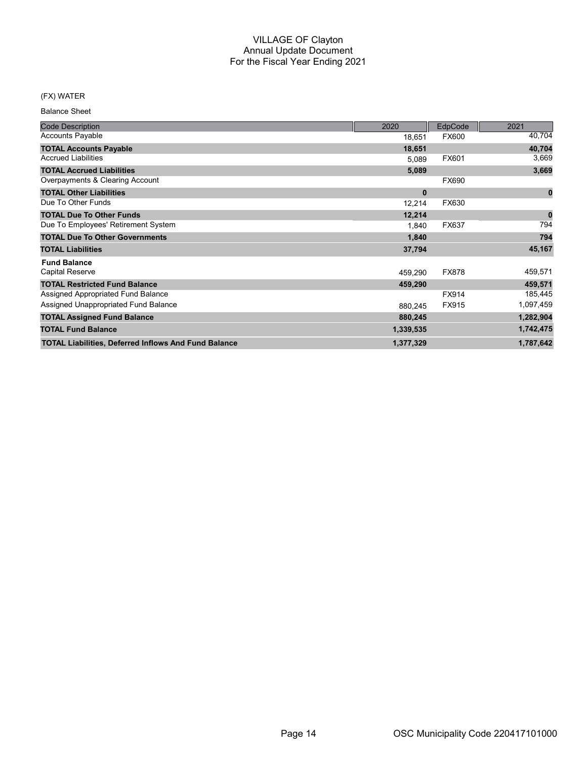# (FX) WATER

| <b>Code Description</b>                                     | 2020         | EdpCode      | 2021      |
|-------------------------------------------------------------|--------------|--------------|-----------|
| <b>Accounts Payable</b>                                     | 18,651       | <b>FX600</b> | 40,704    |
| <b>TOTAL Accounts Payable</b>                               | 18,651       |              | 40,704    |
| <b>Accrued Liabilities</b>                                  | 5,089        | FX601        | 3,669     |
| <b>TOTAL Accrued Liabilities</b>                            | 5,089        |              | 3,669     |
| Overpayments & Clearing Account                             |              | FX690        |           |
| <b>TOTAL Other Liabilities</b>                              | $\mathbf{0}$ |              | $\bf{0}$  |
| Due To Other Funds                                          | 12,214       | FX630        |           |
| <b>TOTAL Due To Other Funds</b>                             | 12,214       |              |           |
| Due To Employees' Retirement System                         | 1,840        | FX637        | 794       |
| <b>TOTAL Due To Other Governments</b>                       | 1,840        |              | 794       |
| <b>TOTAL Liabilities</b>                                    | 37,794       |              | 45,167    |
| <b>Fund Balance</b>                                         |              |              |           |
| <b>Capital Reserve</b>                                      | 459,290      | <b>FX878</b> | 459,571   |
| <b>TOTAL Restricted Fund Balance</b>                        | 459,290      |              | 459,571   |
| Assigned Appropriated Fund Balance                          |              | FX914        | 185,445   |
| Assigned Unappropriated Fund Balance                        | 880,245      | FX915        | 1,097,459 |
| <b>TOTAL Assigned Fund Balance</b>                          | 880,245      |              | 1,282,904 |
| <b>TOTAL Fund Balance</b>                                   | 1,339,535    |              | 1,742,475 |
| <b>TOTAL Liabilities, Deferred Inflows And Fund Balance</b> | 1,377,329    |              | 1,787,642 |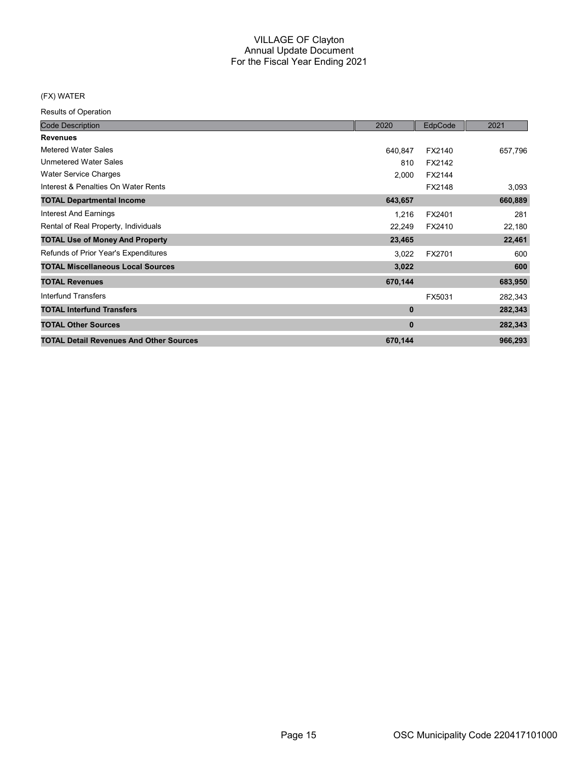# (FX) WATER

| <b>Code Description</b>                        | 2020    | EdpCode | 2021    |
|------------------------------------------------|---------|---------|---------|
| <b>Revenues</b>                                |         |         |         |
| Metered Water Sales                            | 640,847 | FX2140  | 657,796 |
| <b>Unmetered Water Sales</b>                   | 810     | FX2142  |         |
| <b>Water Service Charges</b>                   | 2,000   | FX2144  |         |
| Interest & Penalties On Water Rents            |         | FX2148  | 3,093   |
| <b>TOTAL Departmental Income</b>               | 643,657 |         | 660,889 |
| Interest And Earnings                          | 1,216   | FX2401  | 281     |
| Rental of Real Property, Individuals           | 22,249  | FX2410  | 22,180  |
| <b>TOTAL Use of Money And Property</b>         | 23,465  |         | 22,461  |
| Refunds of Prior Year's Expenditures           | 3,022   | FX2701  | 600     |
| <b>TOTAL Miscellaneous Local Sources</b>       | 3,022   |         | 600     |
| <b>TOTAL Revenues</b>                          | 670,144 |         | 683,950 |
| Interfund Transfers                            |         | FX5031  | 282,343 |
| <b>TOTAL Interfund Transfers</b>               | 0       |         | 282,343 |
| <b>TOTAL Other Sources</b>                     | 0       |         | 282,343 |
| <b>TOTAL Detail Revenues And Other Sources</b> | 670,144 |         | 966,293 |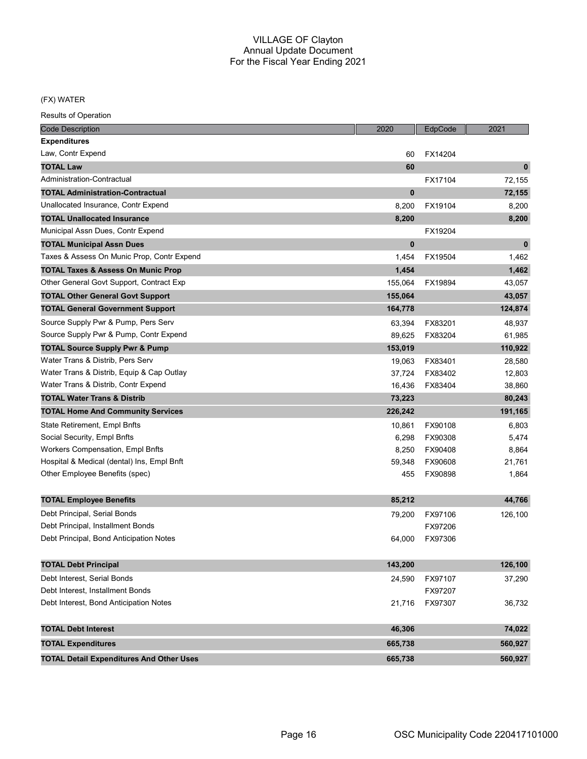#### (FX) WATER

| <b>Code Description</b>                         | 2020     | EdpCode | 2021         |
|-------------------------------------------------|----------|---------|--------------|
| <b>Expenditures</b>                             |          |         |              |
| Law, Contr Expend                               | 60       | FX14204 |              |
| <b>TOTAL Law</b>                                | 60       |         | $\mathbf{0}$ |
| Administration-Contractual                      |          | FX17104 | 72,155       |
| <b>TOTAL Administration-Contractual</b>         | $\bf{0}$ |         | 72,155       |
| Unallocated Insurance, Contr Expend             | 8,200    | FX19104 | 8,200        |
| <b>TOTAL Unallocated Insurance</b>              | 8,200    |         | 8,200        |
| Municipal Assn Dues, Contr Expend               |          | FX19204 |              |
| <b>TOTAL Municipal Assn Dues</b>                | $\bf{0}$ |         | $\mathbf 0$  |
| Taxes & Assess On Munic Prop, Contr Expend      | 1,454    | FX19504 | 1,462        |
| <b>TOTAL Taxes &amp; Assess On Munic Prop</b>   | 1,454    |         | 1,462        |
| Other General Govt Support, Contract Exp        | 155,064  | FX19894 | 43,057       |
| <b>TOTAL Other General Govt Support</b>         | 155,064  |         | 43,057       |
| <b>TOTAL General Government Support</b>         | 164,778  |         | 124,874      |
| Source Supply Pwr & Pump, Pers Serv             | 63,394   | FX83201 | 48,937       |
| Source Supply Pwr & Pump, Contr Expend          | 89,625   | FX83204 | 61,985       |
| <b>TOTAL Source Supply Pwr &amp; Pump</b>       | 153,019  |         | 110,922      |
| Water Trans & Distrib. Pers Serv                | 19,063   | FX83401 | 28,580       |
| Water Trans & Distrib, Equip & Cap Outlay       | 37,724   | FX83402 | 12,803       |
| Water Trans & Distrib, Contr Expend             | 16,436   | FX83404 | 38,860       |
| <b>TOTAL Water Trans &amp; Distrib</b>          | 73,223   |         | 80,243       |
| <b>TOTAL Home And Community Services</b>        | 226,242  |         | 191,165      |
| State Retirement, Empl Bnfts                    | 10,861   | FX90108 | 6,803        |
| Social Security, Empl Bnfts                     | 6,298    | FX90308 | 5,474        |
| <b>Workers Compensation, Empl Bnfts</b>         | 8,250    | FX90408 | 8,864        |
| Hospital & Medical (dental) Ins, Empl Bnft      | 59,348   | FX90608 | 21,761       |
| Other Employee Benefits (spec)                  | 455      | FX90898 | 1,864        |
| <b>TOTAL Employee Benefits</b>                  | 85,212   |         | 44,766       |
| Debt Principal, Serial Bonds                    | 79,200   | FX97106 | 126,100      |
| Debt Principal, Installment Bonds               |          | FX97206 |              |
| Debt Principal, Bond Anticipation Notes         | 64,000   | FX97306 |              |
|                                                 |          |         |              |
| <b>TOTAL Debt Principal</b>                     | 143,200  |         | 126,100      |
| Debt Interest, Serial Bonds                     | 24,590   | FX97107 | 37,290       |
| Debt Interest, Installment Bonds                |          | FX97207 |              |
| Debt Interest, Bond Anticipation Notes          | 21,716   | FX97307 | 36,732       |
| <b>TOTAL Debt Interest</b>                      | 46,306   |         | 74,022       |
| <b>TOTAL Expenditures</b>                       | 665,738  |         | 560,927      |
| <b>TOTAL Detail Expenditures And Other Uses</b> | 665,738  |         | 560,927      |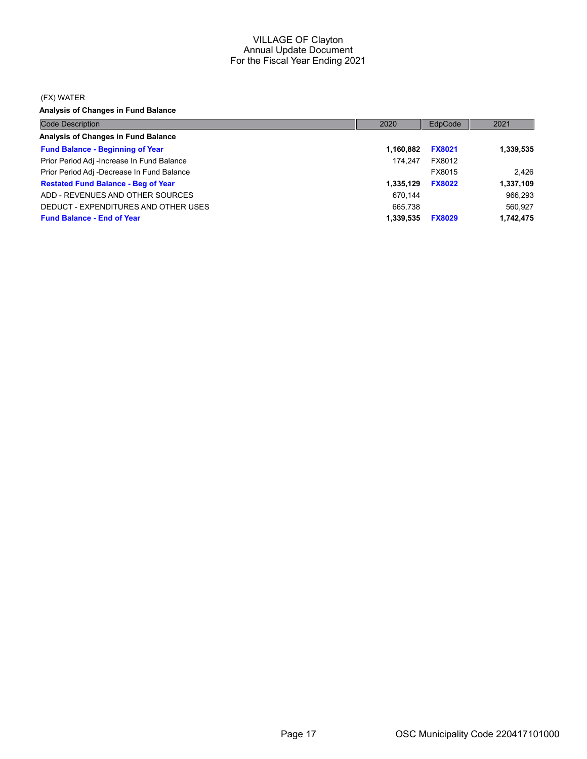#### (FX) WATER

Analysis of Changes in Fund Balance

| <b>Code Description</b>                    | 2020      | EdpCode       | 2021      |
|--------------------------------------------|-----------|---------------|-----------|
| Analysis of Changes in Fund Balance        |           |               |           |
| <b>Fund Balance - Beginning of Year</b>    | 1.160.882 | <b>FX8021</b> | 1,339,535 |
| Prior Period Adj -Increase In Fund Balance | 174.247   | FX8012        |           |
| Prior Period Adj -Decrease In Fund Balance |           | FX8015        | 2.426     |
| <b>Restated Fund Balance - Beg of Year</b> | 1,335,129 | <b>FX8022</b> | 1,337,109 |
| ADD - REVENUES AND OTHER SOURCES           | 670.144   |               | 966,293   |
| DEDUCT - EXPENDITURES AND OTHER USES       | 665.738   |               | 560.927   |
| <b>Fund Balance - End of Year</b>          | 1,339,535 | <b>FX8029</b> | 1,742,475 |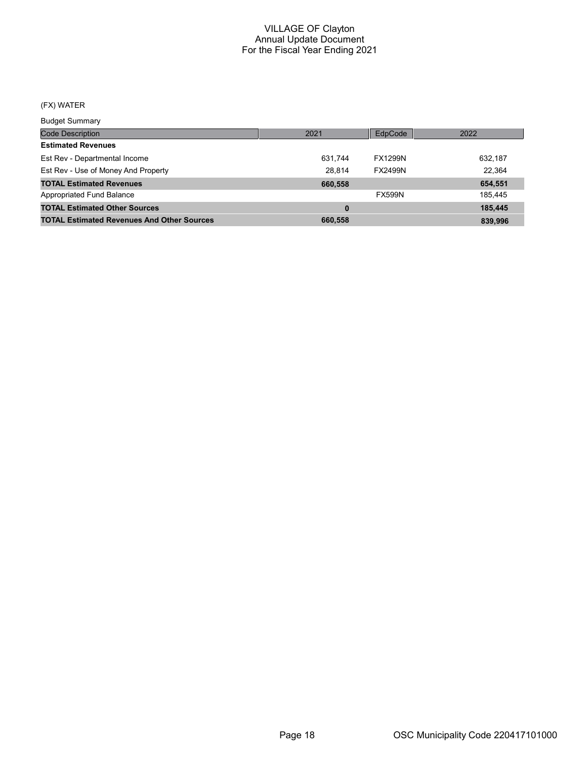# (FX) WATER

Budget Summary

| ___________                                       |         |                |         |
|---------------------------------------------------|---------|----------------|---------|
| <b>Code Description</b>                           | 2021    | EdpCode        | 2022    |
| <b>Estimated Revenues</b>                         |         |                |         |
| Est Rev - Departmental Income                     | 631,744 | <b>FX1299N</b> | 632,187 |
| Est Rev - Use of Money And Property               | 28.814  | <b>FX2499N</b> | 22,364  |
| <b>TOTAL Estimated Revenues</b>                   | 660,558 |                | 654,551 |
| Appropriated Fund Balance                         |         | <b>FX599N</b>  | 185,445 |
| <b>TOTAL Estimated Other Sources</b>              | 0       |                | 185.445 |
| <b>TOTAL Estimated Revenues And Other Sources</b> | 660,558 |                | 839.996 |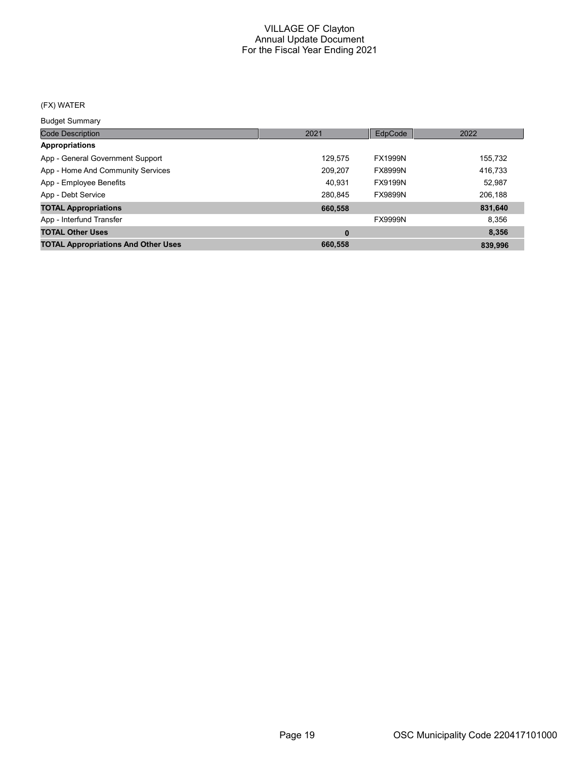# (FX) WATER

Budget Summary

| ___________                                |         |                |         |
|--------------------------------------------|---------|----------------|---------|
| <b>Code Description</b>                    | 2021    | EdpCode        | 2022    |
| <b>Appropriations</b>                      |         |                |         |
| App - General Government Support           | 129,575 | <b>FX1999N</b> | 155,732 |
| App - Home And Community Services          | 209.207 | <b>FX8999N</b> | 416,733 |
| App - Employee Benefits                    | 40.931  | <b>FX9199N</b> | 52,987  |
| App - Debt Service                         | 280.845 | <b>FX9899N</b> | 206,188 |
| <b>TOTAL Appropriations</b>                | 660,558 |                | 831,640 |
| App - Interfund Transfer                   |         | <b>FX9999N</b> | 8,356   |
| <b>TOTAL Other Uses</b>                    | 0       |                | 8,356   |
| <b>TOTAL Appropriations And Other Uses</b> | 660,558 |                | 839.996 |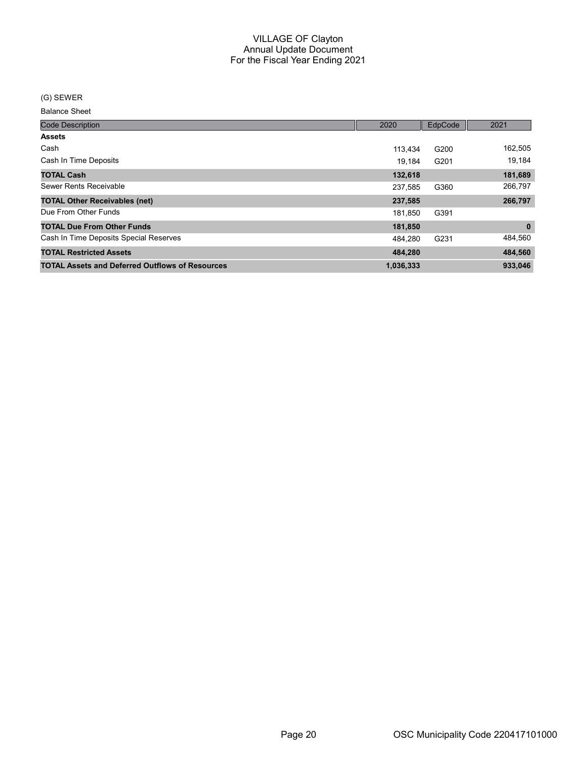#### (G) SEWER

| <b>Code Description</b>                                | 2020      | EdpCode | 2021         |
|--------------------------------------------------------|-----------|---------|--------------|
| <b>Assets</b>                                          |           |         |              |
| Cash                                                   | 113.434   | G200    | 162,505      |
| Cash In Time Deposits                                  | 19.184    | G201    | 19,184       |
| <b>TOTAL Cash</b>                                      | 132,618   |         | 181,689      |
| Sewer Rents Receivable                                 | 237.585   | G360    | 266,797      |
| <b>TOTAL Other Receivables (net)</b>                   | 237,585   |         | 266,797      |
| Due From Other Funds                                   | 181.850   | G391    |              |
| <b>TOTAL Due From Other Funds</b>                      | 181,850   |         | $\mathbf{0}$ |
| Cash In Time Deposits Special Reserves                 | 484.280   | G231    | 484,560      |
| <b>TOTAL Restricted Assets</b>                         | 484,280   |         | 484,560      |
| <b>TOTAL Assets and Deferred Outflows of Resources</b> | 1,036,333 |         | 933,046      |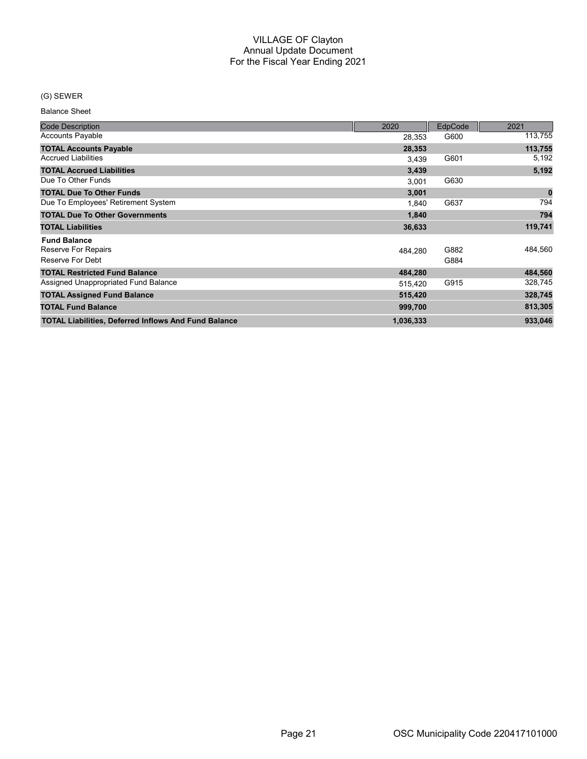# (G) SEWER

| <b>Code Description</b>                                     | 2020      | EdpCode | 2021     |
|-------------------------------------------------------------|-----------|---------|----------|
| <b>Accounts Payable</b>                                     | 28,353    | G600    | 113,755  |
| <b>TOTAL Accounts Payable</b>                               | 28,353    |         | 113,755  |
| <b>Accrued Liabilities</b>                                  | 3,439     | G601    | 5,192    |
| <b>TOTAL Accrued Liabilities</b>                            | 3,439     |         | 5,192    |
| Due To Other Funds                                          | 3,001     | G630    |          |
| <b>TOTAL Due To Other Funds</b>                             | 3,001     |         | $\bf{0}$ |
| Due To Employees' Retirement System                         | 1.840     | G637    | 794      |
| <b>TOTAL Due To Other Governments</b>                       | 1,840     |         | 794      |
| <b>TOTAL Liabilities</b>                                    | 36,633    |         | 119,741  |
| <b>Fund Balance</b><br>Reserve For Repairs                  | 484.280   | G882    | 484,560  |
| Reserve For Debt                                            |           | G884    |          |
| <b>TOTAL Restricted Fund Balance</b>                        | 484,280   |         | 484,560  |
| Assigned Unappropriated Fund Balance                        | 515,420   | G915    | 328,745  |
| <b>TOTAL Assigned Fund Balance</b>                          | 515,420   |         | 328,745  |
| <b>TOTAL Fund Balance</b>                                   | 999,700   |         | 813,305  |
| <b>TOTAL Liabilities, Deferred Inflows And Fund Balance</b> | 1,036,333 |         | 933,046  |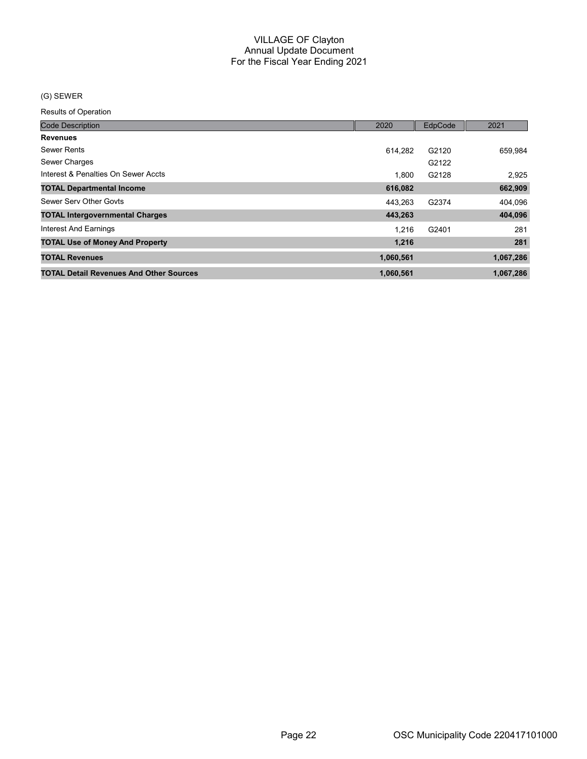# (G) SEWER

| <b>Code Description</b>                        | 2020      | EdpCode | 2021      |
|------------------------------------------------|-----------|---------|-----------|
| <b>Revenues</b>                                |           |         |           |
| <b>Sewer Rents</b>                             | 614,282   | G2120   | 659,984   |
| Sewer Charges                                  |           | G2122   |           |
| Interest & Penalties On Sewer Accts            | 1.800     | G2128   | 2,925     |
| <b>TOTAL Departmental Income</b>               | 616,082   |         | 662,909   |
| Sewer Serv Other Govts                         | 443.263   | G2374   | 404,096   |
| <b>TOTAL Intergovernmental Charges</b>         | 443,263   |         | 404,096   |
| Interest And Earnings                          | 1.216     | G2401   | 281       |
| <b>TOTAL Use of Money And Property</b>         | 1,216     |         | 281       |
| <b>TOTAL Revenues</b>                          | 1,060,561 |         | 1,067,286 |
| <b>TOTAL Detail Revenues And Other Sources</b> | 1,060,561 |         | 1,067,286 |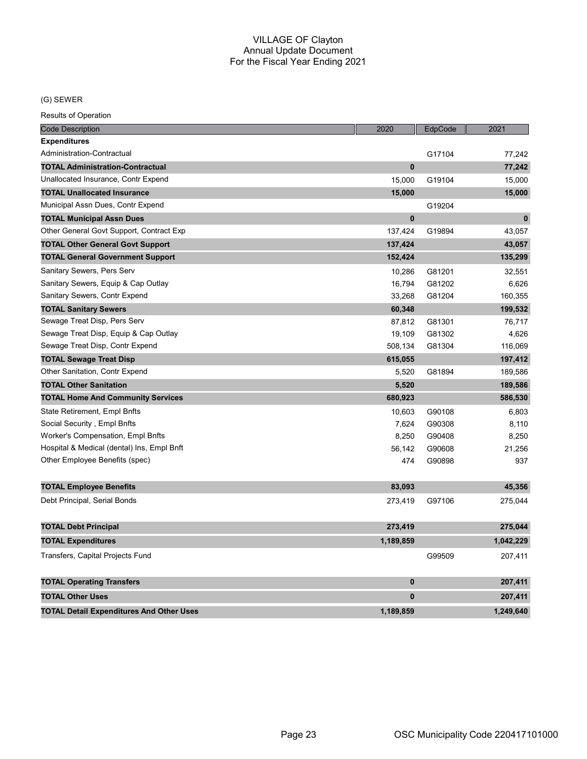# (G) SEWER

| <b>Code Description</b>                         | 2020         | EdpCode | 2021        |
|-------------------------------------------------|--------------|---------|-------------|
| <b>Expenditures</b>                             |              |         |             |
| Administration-Contractual                      |              | G17104  | 77,242      |
| <b>TOTAL Administration-Contractual</b>         | $\mathbf{0}$ |         | 77,242      |
| Unallocated Insurance, Contr Expend             | 15,000       | G19104  | 15,000      |
| <b>TOTAL Unallocated Insurance</b>              | 15,000       |         | 15,000      |
| Municipal Assn Dues, Contr Expend               |              | G19204  |             |
| <b>TOTAL Municipal Assn Dues</b>                | $\bf{0}$     |         | $\mathbf 0$ |
| Other General Govt Support, Contract Exp        | 137,424      | G19894  | 43,057      |
| <b>TOTAL Other General Govt Support</b>         | 137,424      |         | 43,057      |
| <b>TOTAL General Government Support</b>         | 152,424      |         | 135,299     |
| Sanitary Sewers, Pers Serv                      | 10,286       | G81201  | 32,551      |
| Sanitary Sewers, Equip & Cap Outlay             | 16,794       | G81202  | 6,626       |
| Sanitary Sewers, Contr Expend                   | 33,268       | G81204  | 160,355     |
| <b>TOTAL Sanitary Sewers</b>                    | 60,348       |         | 199,532     |
| Sewage Treat Disp, Pers Serv                    | 87,812       | G81301  | 76,717      |
| Sewage Treat Disp, Equip & Cap Outlay           | 19,109       | G81302  | 4,626       |
| Sewage Treat Disp, Contr Expend                 | 508,134      | G81304  | 116,069     |
| <b>TOTAL Sewage Treat Disp</b>                  | 615,055      |         | 197,412     |
| Other Sanitation, Contr Expend                  | 5,520        | G81894  | 189,586     |
| <b>TOTAL Other Sanitation</b>                   | 5,520        |         | 189,586     |
| <b>TOTAL Home And Community Services</b>        | 680,923      |         | 586,530     |
| <b>State Retirement, Empl Bnfts</b>             | 10,603       | G90108  | 6,803       |
| Social Security, Empl Bnfts                     | 7,624        | G90308  | 8,110       |
| Worker's Compensation, Empl Bnfts               | 8,250        | G90408  | 8,250       |
| Hospital & Medical (dental) Ins, Empl Bnft      | 56,142       | G90608  | 21,256      |
| Other Employee Benefits (spec)                  | 474          | G90898  | 937         |
| <b>TOTAL Employee Benefits</b>                  | 83,093       |         | 45,356      |
| Debt Principal, Serial Bonds                    | 273,419      | G97106  | 275,044     |
| <b>TOTAL Debt Principal</b>                     | 273,419      |         | 275,044     |
| <b>TOTAL Expenditures</b>                       | 1,189,859    |         | 1,042,229   |
| Transfers, Capital Projects Fund                |              | G99509  | 207,411     |
| <b>TOTAL Operating Transfers</b>                | $\bf{0}$     |         | 207,411     |
| <b>TOTAL Other Uses</b>                         | $\mathbf{0}$ |         | 207,411     |
| <b>TOTAL Detail Expenditures And Other Uses</b> | 1,189,859    |         | 1,249,640   |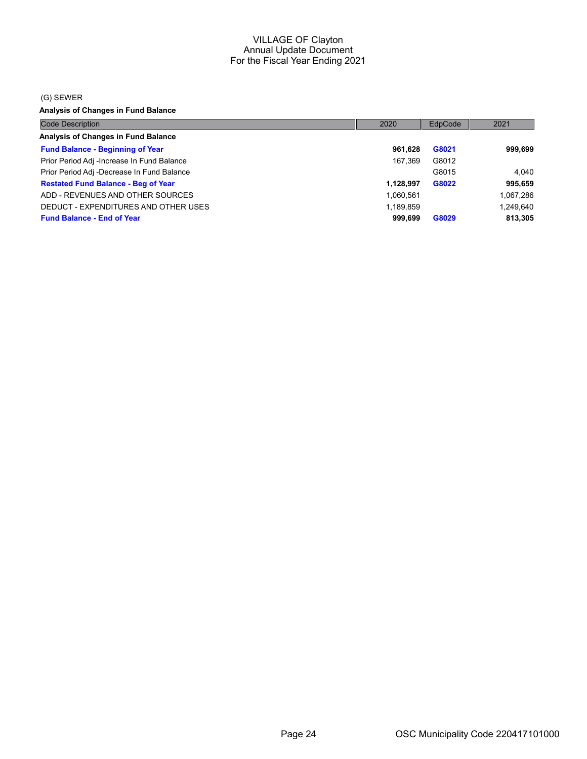#### (G) SEWER

Analysis of Changes in Fund Balance

| <b>Code Description</b>                    | 2020      | EdpCode | 2021      |
|--------------------------------------------|-----------|---------|-----------|
| <b>Analysis of Changes in Fund Balance</b> |           |         |           |
| <b>Fund Balance - Beginning of Year</b>    | 961,628   | G8021   | 999,699   |
| Prior Period Adj -Increase In Fund Balance | 167.369   | G8012   |           |
| Prior Period Adj -Decrease In Fund Balance |           | G8015   | 4.040     |
| <b>Restated Fund Balance - Beg of Year</b> | 1.128.997 | G8022   | 995,659   |
| ADD - REVENUES AND OTHER SOURCES           | 1,060,561 |         | 1,067,286 |
| DEDUCT - EXPENDITURES AND OTHER USES       | 1,189,859 |         | 1.249.640 |
| <b>Fund Balance - End of Year</b>          | 999.699   | G8029   | 813,305   |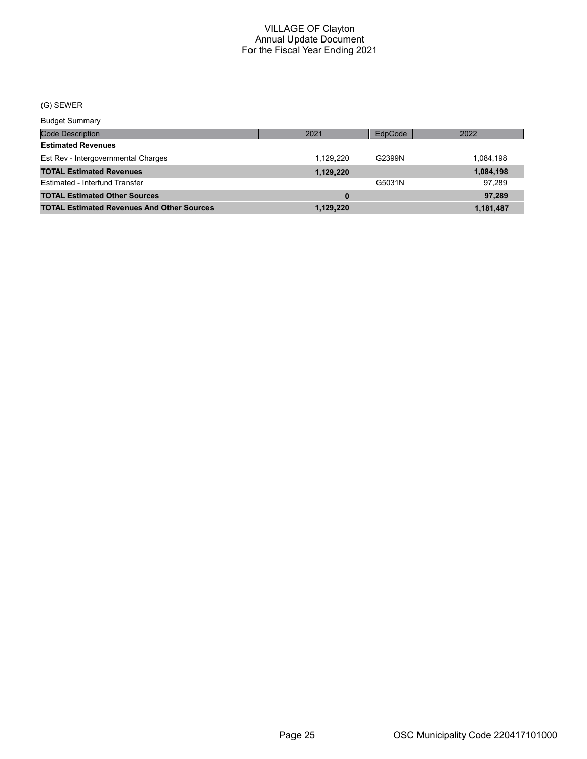# (G) SEWER

Budget Summary

| Duuyot Ourririai y                                |           |         |           |
|---------------------------------------------------|-----------|---------|-----------|
| Code Description                                  | 2021      | EdpCode | 2022      |
| <b>Estimated Revenues</b>                         |           |         |           |
| Est Rev - Intergovernmental Charges               | 1.129.220 | G2399N  | 1.084.198 |
| <b>TOTAL Estimated Revenues</b>                   | 1,129,220 |         | 1,084,198 |
| Estimated - Interfund Transfer                    |           | G5031N  | 97.289    |
| <b>TOTAL Estimated Other Sources</b>              | $\bf{0}$  |         | 97,289    |
| <b>TOTAL Estimated Revenues And Other Sources</b> | 1.129.220 |         | 1,181,487 |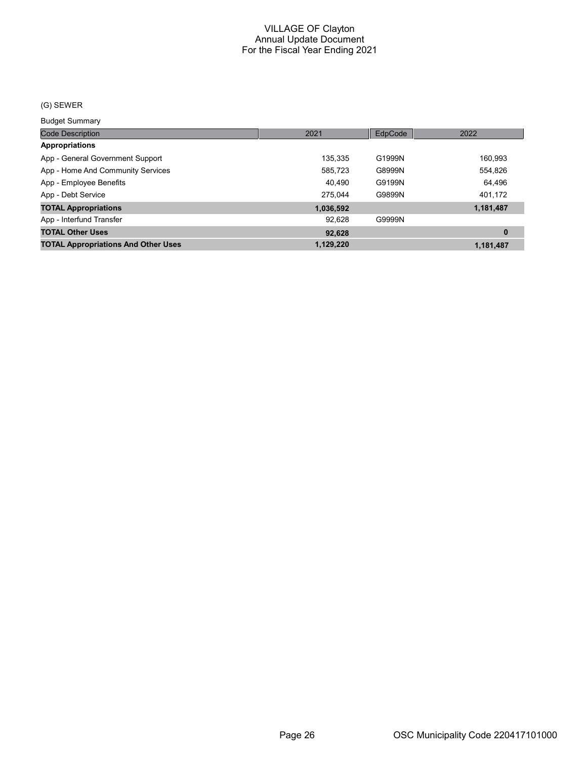# (G) SEWER

Budget Summary

| ___________                                |           |         |           |
|--------------------------------------------|-----------|---------|-----------|
| <b>Code Description</b>                    | 2021      | EdpCode | 2022      |
| <b>Appropriations</b>                      |           |         |           |
| App - General Government Support           | 135,335   | G1999N  | 160,993   |
| App - Home And Community Services          | 585,723   | G8999N  | 554,826   |
| App - Employee Benefits                    | 40,490    | G9199N  | 64,496    |
| App - Debt Service                         | 275.044   | G9899N  | 401,172   |
| <b>TOTAL Appropriations</b>                | 1,036,592 |         | 1,181,487 |
| App - Interfund Transfer                   | 92.628    | G9999N  |           |
| <b>TOTAL Other Uses</b>                    | 92,628    |         | $\bf{0}$  |
| <b>TOTAL Appropriations And Other Uses</b> | 1,129,220 |         | 1,181,487 |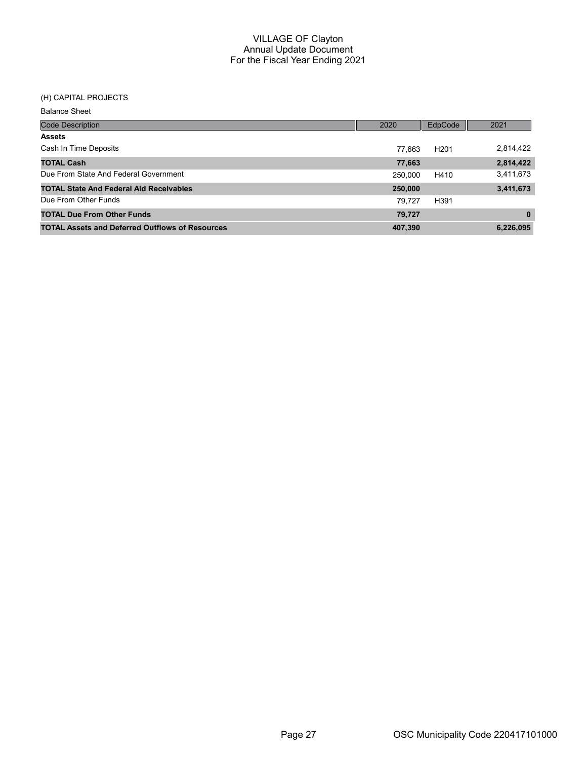# (H) CAPITAL PROJECTS

| <b>Code Description</b>                                | 2020    | EdpCode          | 2021         |
|--------------------------------------------------------|---------|------------------|--------------|
| <b>Assets</b>                                          |         |                  |              |
| Cash In Time Deposits                                  | 77.663  | H <sub>201</sub> | 2,814,422    |
| <b>TOTAL Cash</b>                                      | 77,663  |                  | 2,814,422    |
| Due From State And Federal Government                  | 250.000 | H410             | 3,411,673    |
| <b>TOTAL State And Federal Aid Receivables</b>         | 250,000 |                  | 3,411,673    |
| Due From Other Funds                                   | 79.727  | H391             |              |
| <b>TOTAL Due From Other Funds</b>                      | 79,727  |                  | $\mathbf{0}$ |
| <b>TOTAL Assets and Deferred Outflows of Resources</b> | 407,390 |                  | 6,226,095    |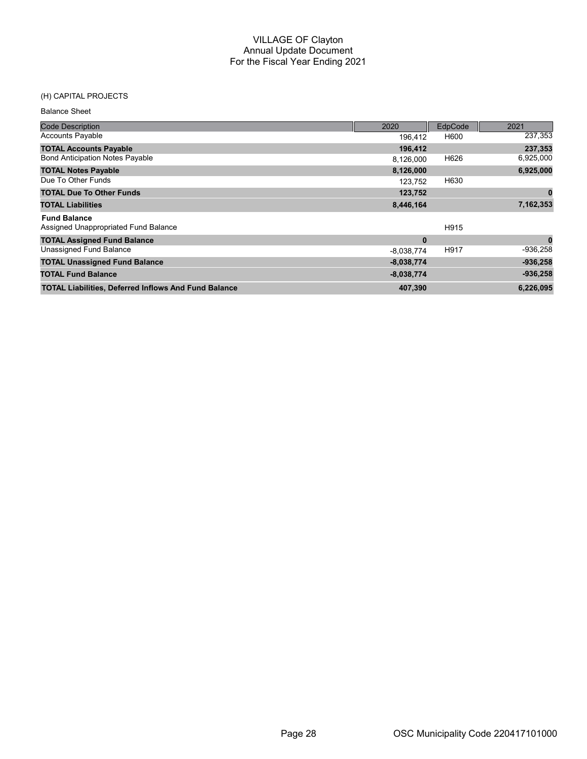# (H) CAPITAL PROJECTS

| <b>Code Description</b>                                     | 2020         | EdpCode | 2021       |
|-------------------------------------------------------------|--------------|---------|------------|
| <b>Accounts Payable</b>                                     | 196.412      | H600    | 237,353    |
| <b>TOTAL Accounts Payable</b>                               | 196,412      |         | 237,353    |
| <b>Bond Anticipation Notes Payable</b>                      | 8,126,000    | H626    | 6,925,000  |
| <b>TOTAL Notes Payable</b>                                  | 8,126,000    |         | 6,925,000  |
| Due To Other Funds                                          | 123,752      | H630    |            |
| <b>TOTAL Due To Other Funds</b>                             | 123,752      |         | 0          |
| <b>TOTAL Liabilities</b>                                    | 8,446,164    |         | 7,162,353  |
| <b>Fund Balance</b>                                         |              |         |            |
| Assigned Unappropriated Fund Balance                        |              | H915    |            |
| <b>TOTAL Assigned Fund Balance</b>                          | $\bf{0}$     |         | $\bf{0}$   |
| Unassigned Fund Balance                                     | $-8,038,774$ | H917    | $-936,258$ |
| <b>TOTAL Unassigned Fund Balance</b>                        | $-8,038,774$ |         | $-936,258$ |
| <b>TOTAL Fund Balance</b>                                   | $-8,038,774$ |         | $-936,258$ |
| <b>TOTAL Liabilities, Deferred Inflows And Fund Balance</b> | 407,390      |         | 6,226,095  |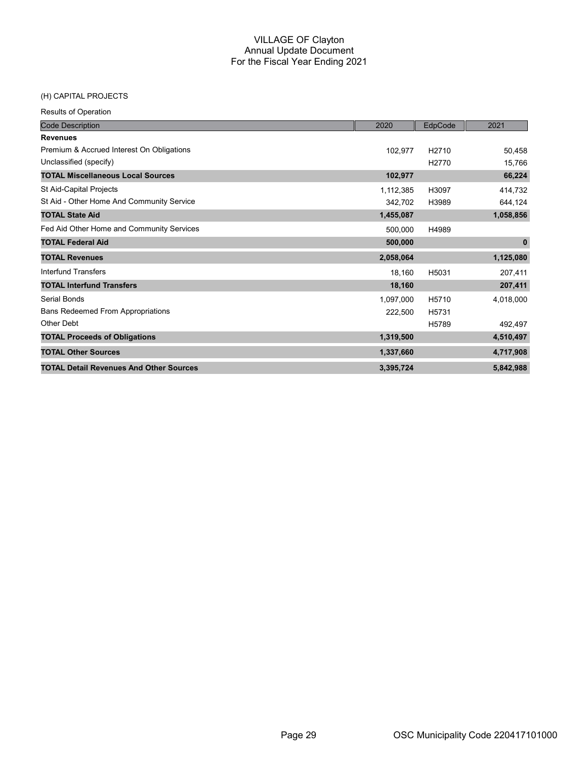# (H) CAPITAL PROJECTS

| <b>Code Description</b>                        | 2020      | EdpCode            | 2021        |
|------------------------------------------------|-----------|--------------------|-------------|
| <b>Revenues</b>                                |           |                    |             |
| Premium & Accrued Interest On Obligations      | 102,977   | H <sub>2710</sub>  | 50,458      |
| Unclassified (specify)                         |           | H <sub>2770</sub>  | 15,766      |
| <b>TOTAL Miscellaneous Local Sources</b>       | 102,977   |                    | 66,224      |
| St Aid-Capital Projects                        | 1,112,385 | H3097              | 414,732     |
| St Aid - Other Home And Community Service      | 342,702   | H3989              | 644,124     |
| <b>TOTAL State Aid</b>                         | 1,455,087 |                    | 1,058,856   |
| Fed Aid Other Home and Community Services      | 500,000   | H4989              |             |
| <b>TOTAL Federal Aid</b>                       | 500,000   |                    | $\mathbf 0$ |
| <b>TOTAL Revenues</b>                          | 2,058,064 |                    | 1,125,080   |
| Interfund Transfers                            | 18,160    | H5031              | 207,411     |
| <b>TOTAL Interfund Transfers</b>               | 18,160    |                    | 207,411     |
| Serial Bonds                                   | 1,097,000 | H5710              | 4,018,000   |
| <b>Bans Redeemed From Appropriations</b>       | 222,500   | H <sub>5731</sub>  |             |
| Other Debt                                     |           | H <sub>57</sub> 89 | 492,497     |
| <b>TOTAL Proceeds of Obligations</b>           | 1,319,500 |                    | 4,510,497   |
| <b>TOTAL Other Sources</b>                     | 1,337,660 |                    | 4,717,908   |
| <b>TOTAL Detail Revenues And Other Sources</b> | 3,395,724 |                    | 5,842,988   |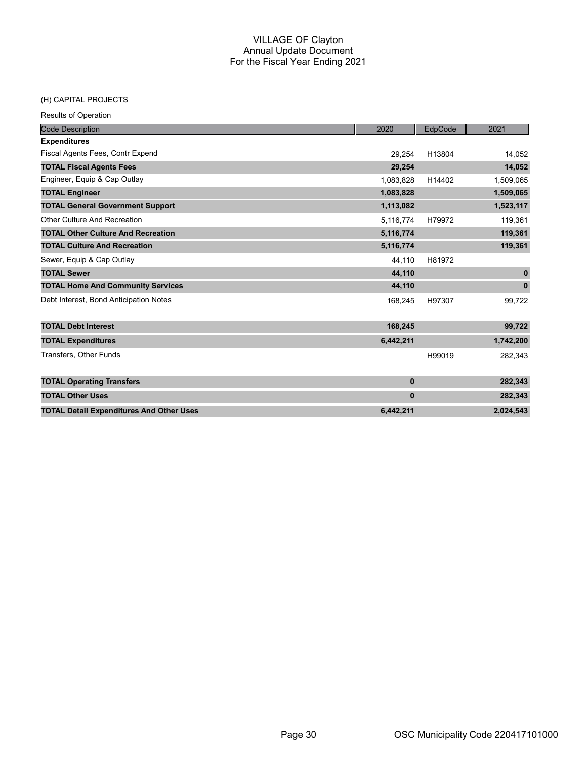#### (H) CAPITAL PROJECTS

| <b>Code Description</b>                         | 2020         | EdpCode | 2021         |
|-------------------------------------------------|--------------|---------|--------------|
| <b>Expenditures</b>                             |              |         |              |
| Fiscal Agents Fees, Contr Expend                | 29,254       | H13804  | 14,052       |
| <b>TOTAL Fiscal Agents Fees</b>                 | 29,254       |         | 14,052       |
| Engineer, Equip & Cap Outlay                    | 1,083,828    | H14402  | 1,509,065    |
| <b>TOTAL Engineer</b>                           | 1,083,828    |         | 1,509,065    |
| <b>TOTAL General Government Support</b>         | 1,113,082    |         | 1,523,117    |
| Other Culture And Recreation                    | 5,116,774    | H79972  | 119,361      |
| <b>TOTAL Other Culture And Recreation</b>       | 5,116,774    |         | 119,361      |
| <b>TOTAL Culture And Recreation</b>             | 5,116,774    |         | 119,361      |
| Sewer, Equip & Cap Outlay                       | 44,110       | H81972  |              |
| <b>TOTAL Sewer</b>                              | 44,110       |         | $\mathbf{0}$ |
| <b>TOTAL Home And Community Services</b>        | 44,110       |         | $\pmb{0}$    |
| Debt Interest, Bond Anticipation Notes          | 168,245      | H97307  | 99,722       |
|                                                 |              |         |              |
| <b>TOTAL Debt Interest</b>                      | 168,245      |         | 99,722       |
| <b>TOTAL Expenditures</b>                       | 6,442,211    |         | 1,742,200    |
| <b>Transfers, Other Funds</b>                   |              | H99019  | 282,343      |
|                                                 |              |         |              |
| <b>TOTAL Operating Transfers</b>                | $\mathbf{0}$ |         | 282,343      |
| <b>TOTAL Other Uses</b>                         | $\bf{0}$     |         | 282,343      |
| <b>TOTAL Detail Expenditures And Other Uses</b> | 6.442.211    |         | 2,024,543    |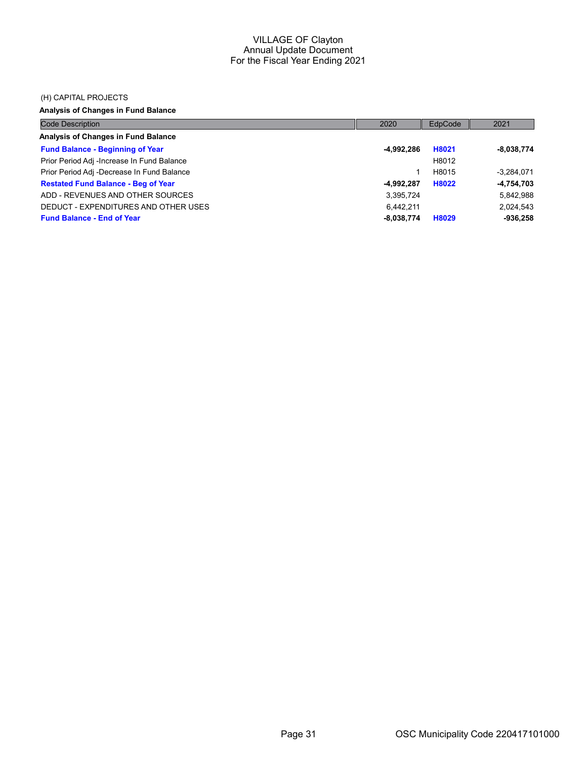#### (H) CAPITAL PROJECTS

# Analysis of Changes in Fund Balance

| <b>Code Description</b>                    | 2020         | EdpCode | 2021         |
|--------------------------------------------|--------------|---------|--------------|
| <b>Analysis of Changes in Fund Balance</b> |              |         |              |
| <b>Fund Balance - Beginning of Year</b>    | -4,992,286   | H8021   | $-8,038,774$ |
| Prior Period Adj -Increase In Fund Balance |              | H8012   |              |
| Prior Period Adj -Decrease In Fund Balance |              | H8015   | $-3.284.071$ |
| <b>Restated Fund Balance - Beg of Year</b> | $-4,992,287$ | H8022   | $-4,754,703$ |
| ADD - REVENUES AND OTHER SOURCES           | 3,395,724    |         | 5,842,988    |
| DEDUCT - EXPENDITURES AND OTHER USES       | 6.442.211    |         | 2,024,543    |
| <b>Fund Balance - End of Year</b>          | $-8,038,774$ | H8029   | $-936,258$   |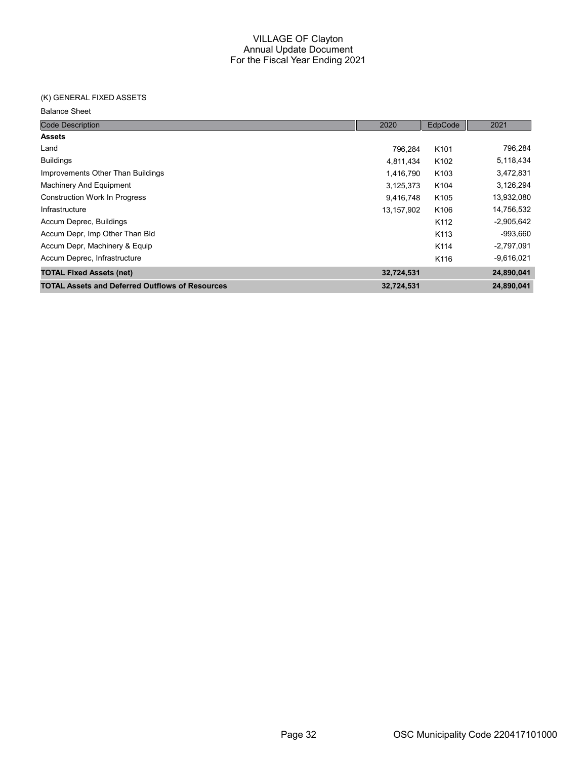# (K) GENERAL FIXED ASSETS

| <b>Code Description</b>                                | 2020       | EdpCode          | 2021         |
|--------------------------------------------------------|------------|------------------|--------------|
| <b>Assets</b>                                          |            |                  |              |
| Land                                                   | 796,284    | K <sub>101</sub> | 796,284      |
| <b>Buildings</b>                                       | 4,811,434  | K <sub>102</sub> | 5,118,434    |
| Improvements Other Than Buildings                      | 1,416,790  | K <sub>103</sub> | 3,472,831    |
| Machinery And Equipment                                | 3,125,373  | K104             | 3,126,294    |
| <b>Construction Work In Progress</b>                   | 9,416,748  | K <sub>105</sub> | 13,932,080   |
| Infrastructure                                         | 13,157,902 | K106             | 14,756,532   |
| Accum Deprec, Buildings                                |            | K112             | $-2,905,642$ |
| Accum Depr, Imp Other Than Bld                         |            | K113             | $-993,660$   |
| Accum Depr, Machinery & Equip                          |            | K114             | $-2,797,091$ |
| Accum Deprec, Infrastructure                           |            | K116             | $-9,616,021$ |
| <b>TOTAL Fixed Assets (net)</b>                        | 32,724,531 |                  | 24,890,041   |
| <b>TOTAL Assets and Deferred Outflows of Resources</b> | 32,724,531 |                  | 24,890,041   |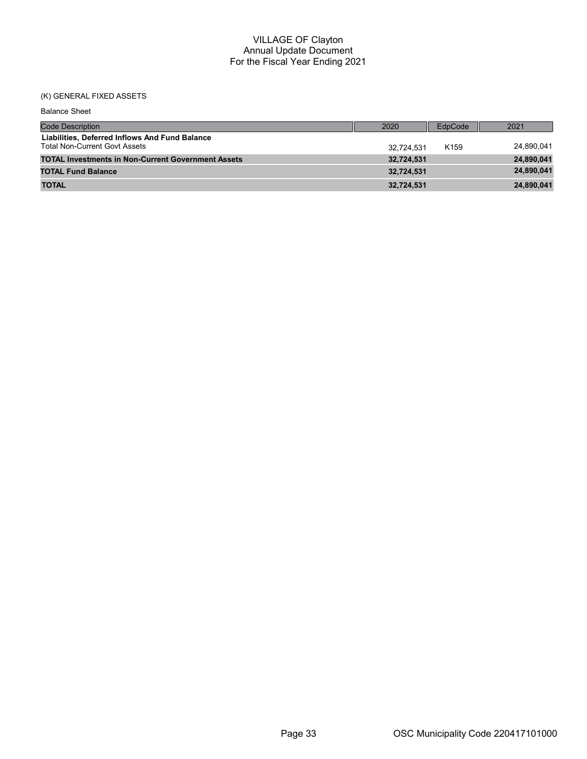# (K) GENERAL FIXED ASSETS

| <b>Balance Sheet</b>                                                                   |            |                  |            |
|----------------------------------------------------------------------------------------|------------|------------------|------------|
| <b>Code Description</b>                                                                | 2020       | EdpCode          | 2021       |
| Liabilities, Deferred Inflows And Fund Balance<br><b>Total Non-Current Govt Assets</b> | 32.724.531 | K <sub>159</sub> | 24,890,041 |
| <b>TOTAL Investments in Non-Current Government Assets</b>                              | 32,724,531 |                  | 24,890,041 |
| <b>TOTAL Fund Balance</b>                                                              | 32.724.531 |                  | 24,890,041 |
| <b>TOTAL</b>                                                                           | 32,724,531 |                  | 24,890,041 |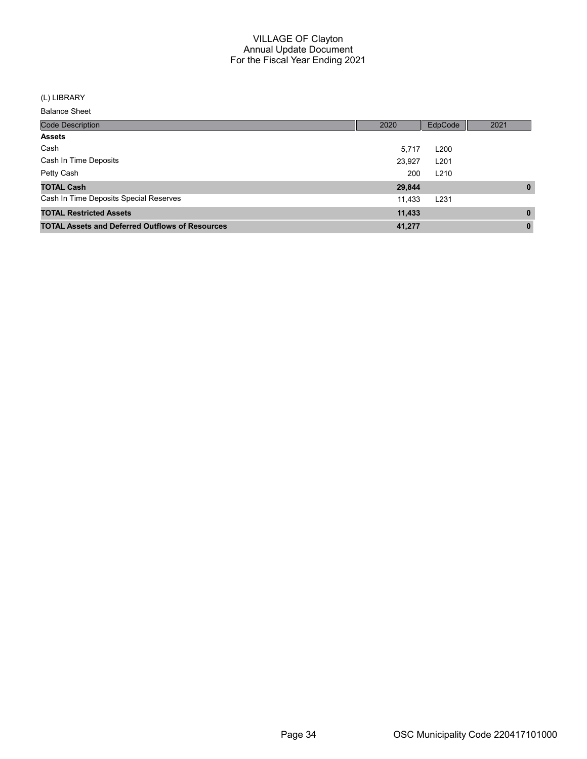#### (L) LIBRARY

| <b>Code Description</b>                                | 2020   | EdpCode          | 2021         |
|--------------------------------------------------------|--------|------------------|--------------|
| <b>Assets</b>                                          |        |                  |              |
| Cash                                                   | 5,717  | L <sub>200</sub> |              |
| Cash In Time Deposits                                  | 23,927 | L <sub>201</sub> |              |
| Petty Cash                                             | 200    | L <sub>210</sub> |              |
| <b>TOTAL Cash</b>                                      | 29,844 |                  | $\mathbf{0}$ |
| Cash In Time Deposits Special Reserves                 | 11,433 | L <sub>231</sub> |              |
| <b>TOTAL Restricted Assets</b>                         | 11,433 |                  | $\mathbf{0}$ |
| <b>TOTAL Assets and Deferred Outflows of Resources</b> | 41,277 |                  | $\mathbf{0}$ |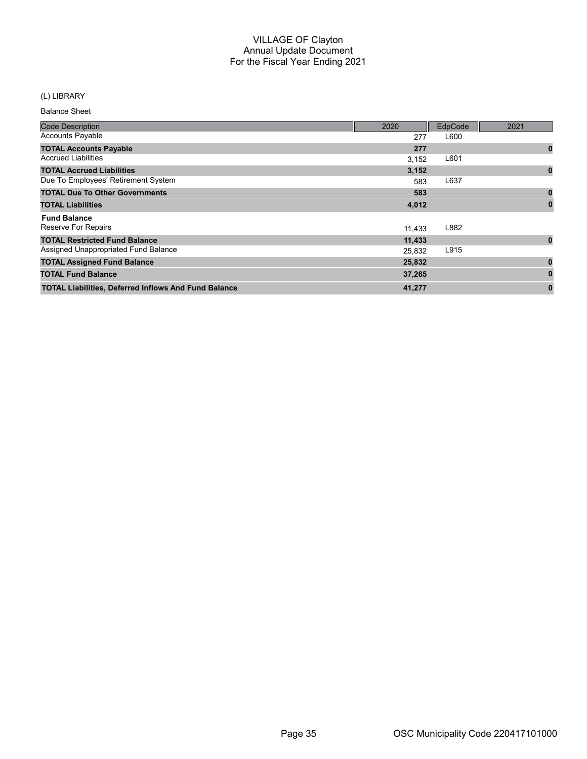# (L) LIBRARY

| <b>Code Description</b>                                     | 2020   | EdpCode | 2021     |
|-------------------------------------------------------------|--------|---------|----------|
| <b>Accounts Payable</b>                                     | 277    | L600    |          |
| <b>TOTAL Accounts Payable</b>                               | 277    |         | $\bf{0}$ |
| <b>Accrued Liabilities</b>                                  | 3,152  | L601    |          |
| <b>TOTAL Accrued Liabilities</b>                            | 3,152  |         | $\bf{0}$ |
| Due To Employees' Retirement System                         | 583    | L637    |          |
| <b>TOTAL Due To Other Governments</b>                       | 583    |         | $\bf{0}$ |
| <b>TOTAL Liabilities</b>                                    | 4,012  |         | $\bf{0}$ |
| <b>Fund Balance</b>                                         |        |         |          |
| <b>Reserve For Repairs</b>                                  | 11,433 | L882    |          |
| <b>TOTAL Restricted Fund Balance</b>                        | 11,433 |         | $\bf{0}$ |
| Assigned Unappropriated Fund Balance                        | 25,832 | L915    |          |
| <b>TOTAL Assigned Fund Balance</b>                          | 25,832 |         |          |
| <b>TOTAL Fund Balance</b>                                   | 37,265 |         |          |
| <b>TOTAL Liabilities, Deferred Inflows And Fund Balance</b> | 41,277 |         | 0        |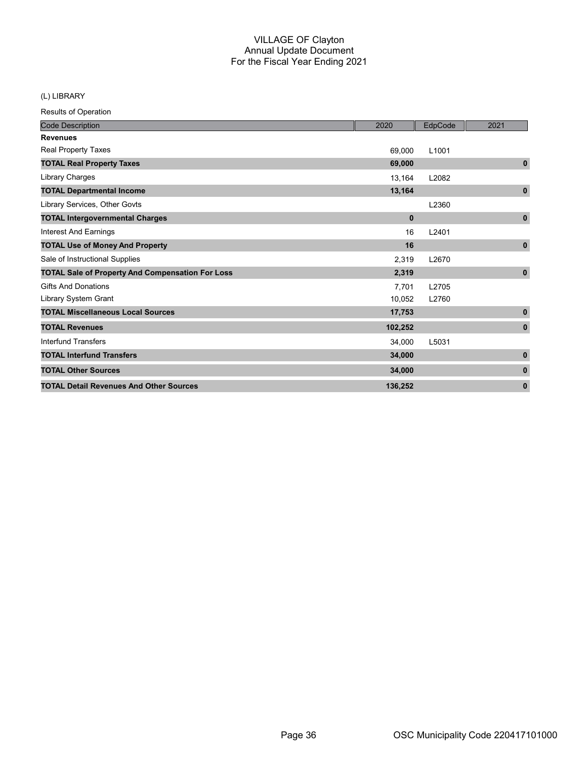# (L) LIBRARY

| <b>Code Description</b>                                 | 2020         | EdpCode           | 2021         |
|---------------------------------------------------------|--------------|-------------------|--------------|
| <b>Revenues</b>                                         |              |                   |              |
| <b>Real Property Taxes</b>                              | 69,000       | L <sub>1001</sub> |              |
| <b>TOTAL Real Property Taxes</b>                        | 69,000       |                   | $\mathbf 0$  |
| Library Charges                                         | 13,164       | L2082             |              |
| <b>TOTAL Departmental Income</b>                        | 13,164       |                   | $\mathbf 0$  |
| Library Services, Other Govts                           |              | L2360             |              |
| <b>TOTAL Intergovernmental Charges</b>                  | $\mathbf{0}$ |                   | $\pmb{0}$    |
| <b>Interest And Earnings</b>                            | 16           | L2401             |              |
| <b>TOTAL Use of Money And Property</b>                  | 16           |                   | $\mathbf 0$  |
| Sale of Instructional Supplies                          | 2,319        | L2670             |              |
| <b>TOTAL Sale of Property And Compensation For Loss</b> | 2,319        |                   | $\mathbf 0$  |
| <b>Gifts And Donations</b>                              | 7,701        | L2705             |              |
| Library System Grant                                    | 10,052       | L2760             |              |
| <b>TOTAL Miscellaneous Local Sources</b>                | 17,753       |                   | $\mathbf{0}$ |
| <b>TOTAL Revenues</b>                                   | 102,252      |                   | $\pmb{0}$    |
| Interfund Transfers                                     | 34,000       | L5031             |              |
| <b>TOTAL Interfund Transfers</b>                        | 34,000       |                   | $\mathbf{0}$ |
| <b>TOTAL Other Sources</b>                              | 34,000       |                   | $\mathbf{0}$ |
| <b>TOTAL Detail Revenues And Other Sources</b>          | 136,252      |                   | $\mathbf{0}$ |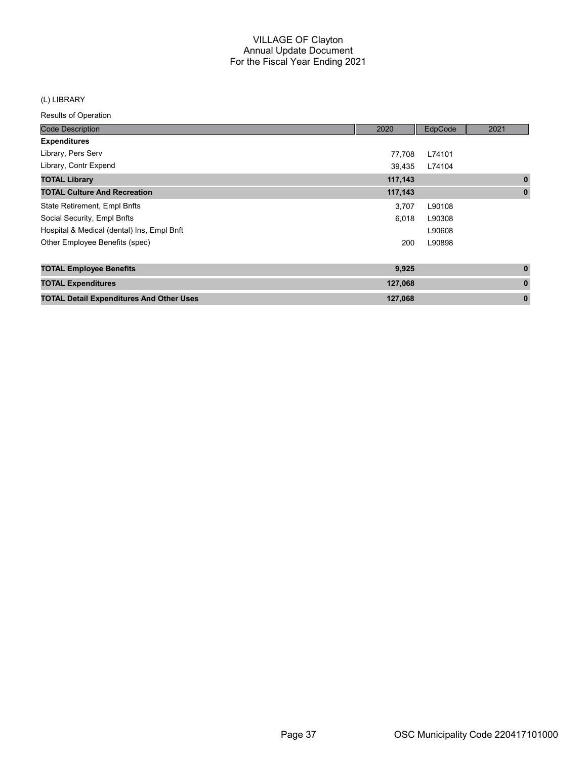#### (L) LIBRARY

| <b>Code Description</b>                         | 2020    | EdpCode | 2021         |
|-------------------------------------------------|---------|---------|--------------|
| <b>Expenditures</b>                             |         |         |              |
| Library, Pers Serv                              | 77,708  | L74101  |              |
| Library, Contr Expend                           | 39,435  | L74104  |              |
| <b>TOTAL Library</b>                            | 117,143 |         | $\mathbf{0}$ |
| <b>TOTAL Culture And Recreation</b>             | 117,143 |         | $\mathbf 0$  |
| State Retirement, Empl Bnfts                    | 3,707   | L90108  |              |
| Social Security, Empl Bnfts                     | 6,018   | L90308  |              |
| Hospital & Medical (dental) Ins, Empl Bnft      |         | L90608  |              |
| Other Employee Benefits (spec)                  | 200     | L90898  |              |
| <b>TOTAL Employee Benefits</b>                  | 9,925   |         | $\mathbf{0}$ |
| <b>TOTAL Expenditures</b>                       | 127,068 |         | $\bf{0}$     |
| <b>TOTAL Detail Expenditures And Other Uses</b> | 127,068 |         | $\mathbf{0}$ |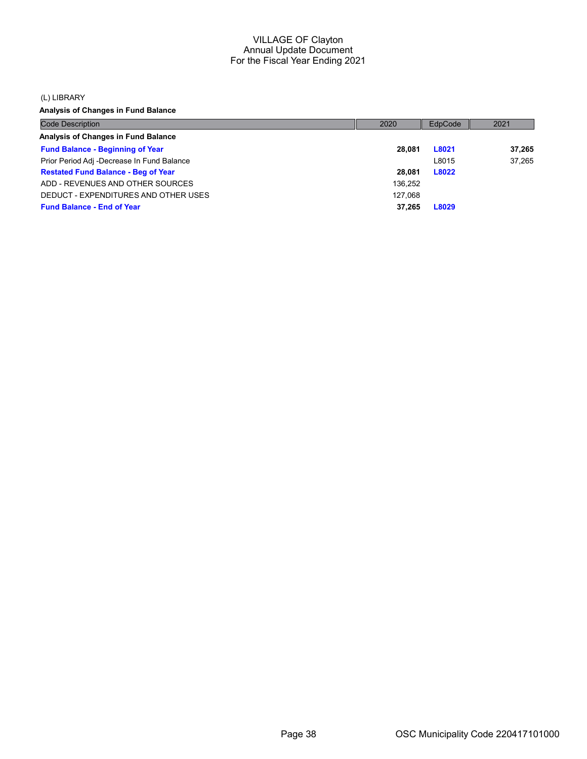(L) LIBRARY

Analysis of Changes in Fund Balance

| <b>Code Description</b>                    | 2020    | EdpCode | 2021   |
|--------------------------------------------|---------|---------|--------|
| Analysis of Changes in Fund Balance        |         |         |        |
| <b>Fund Balance - Beginning of Year</b>    | 28.081  | L8021   | 37,265 |
| Prior Period Adj -Decrease In Fund Balance |         | L8015   | 37.265 |
| <b>Restated Fund Balance - Beg of Year</b> | 28.081  | L8022   |        |
| ADD - REVENUES AND OTHER SOURCES           | 136,252 |         |        |
| DEDUCT - EXPENDITURES AND OTHER USES       | 127.068 |         |        |
| <b>Fund Balance - End of Year</b>          | 37.265  | L8029   |        |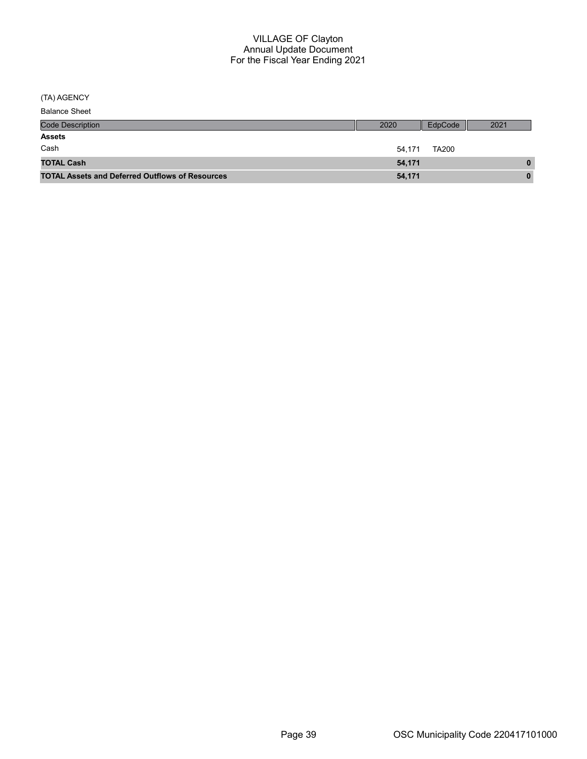(TA) AGENCY

| <b>Balance Sheet</b> |
|----------------------|
|----------------------|

| <b>Code Description</b>                                | 2020   | EdpCode      | 2021 |
|--------------------------------------------------------|--------|--------------|------|
| <b>Assets</b>                                          |        |              |      |
| Cash                                                   | 54.171 | <b>TA200</b> |      |
| <b>TOTAL Cash</b>                                      | 54,171 |              | 0    |
| <b>TOTAL Assets and Deferred Outflows of Resources</b> | 54,171 |              | 0    |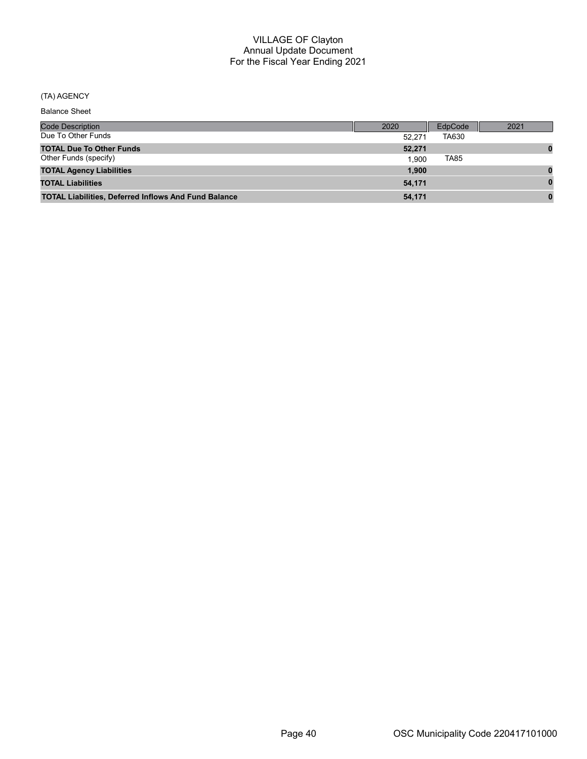# (TA) AGENCY

| <b>Code Description</b>                                     | 2020   | EdpCode | 2021 |
|-------------------------------------------------------------|--------|---------|------|
| Due To Other Funds                                          | 52.271 | TA630   |      |
| <b>TOTAL Due To Other Funds</b>                             | 52,271 |         |      |
| Other Funds (specify)                                       | 1.900  | TA85    |      |
| <b>TOTAL Agency Liabilities</b>                             | 1,900  |         |      |
| <b>TOTAL Liabilities</b>                                    | 54,171 |         |      |
| <b>TOTAL Liabilities, Deferred Inflows And Fund Balance</b> | 54.171 |         |      |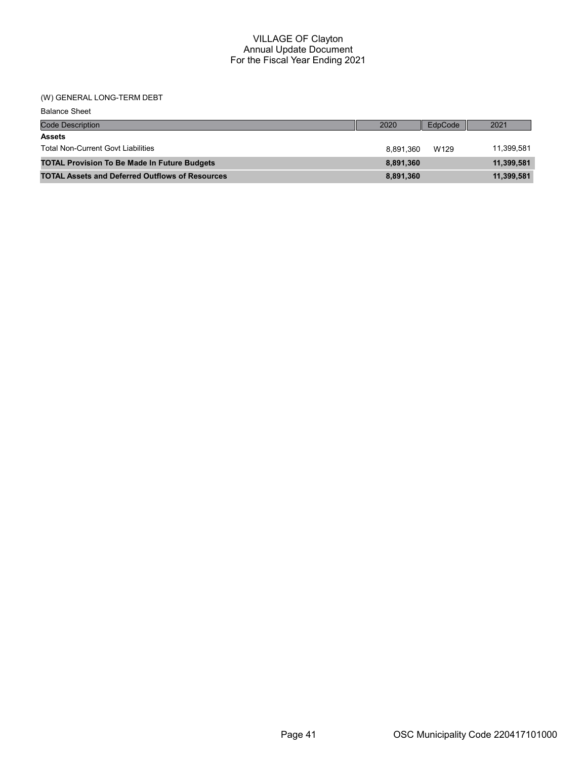# (W) GENERAL LONG-TERM DEBT

| <b>Balance Sheet</b>                                   |           |         |            |
|--------------------------------------------------------|-----------|---------|------------|
| <b>Code Description</b>                                | 2020      | EdpCode | 2021       |
| <b>Assets</b>                                          |           |         |            |
| <b>Total Non-Current Govt Liabilities</b>              | 8.891.360 | W129    | 11,399,581 |
| <b>TOTAL Provision To Be Made In Future Budgets</b>    | 8,891,360 |         | 11,399,581 |
| <b>TOTAL Assets and Deferred Outflows of Resources</b> | 8,891,360 |         | 11,399,581 |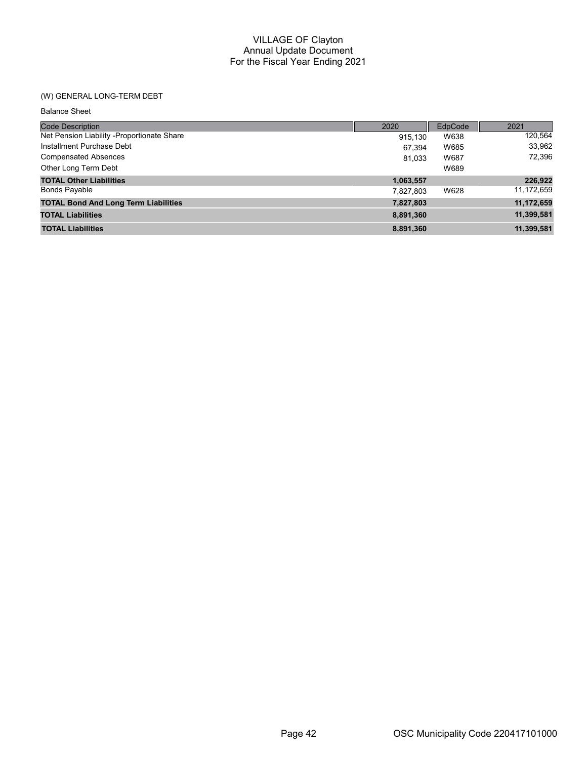# (W) GENERAL LONG-TERM DEBT

| <b>Balance Sheet</b> |  |
|----------------------|--|
|----------------------|--|

| <b>Code Description</b>                     | 2020      | EdpCode | 2021       |
|---------------------------------------------|-----------|---------|------------|
| Net Pension Liability -Proportionate Share  | 915.130   | W638    | 120,564    |
| Installment Purchase Debt                   | 67.394    | W685    | 33,962     |
| <b>Compensated Absences</b>                 | 81.033    | W687    | 72,396     |
| Other Long Term Debt                        |           | W689    |            |
| <b>TOTAL Other Liabilities</b>              | 1,063,557 |         | 226,922    |
| <b>Bonds Payable</b>                        | 7,827,803 | W628    | 11,172,659 |
| <b>TOTAL Bond And Long Term Liabilities</b> | 7,827,803 |         | 11,172,659 |
| <b>TOTAL Liabilities</b>                    | 8,891,360 |         | 11,399,581 |
| <b>TOTAL Liabilities</b>                    | 8,891,360 |         | 11,399,581 |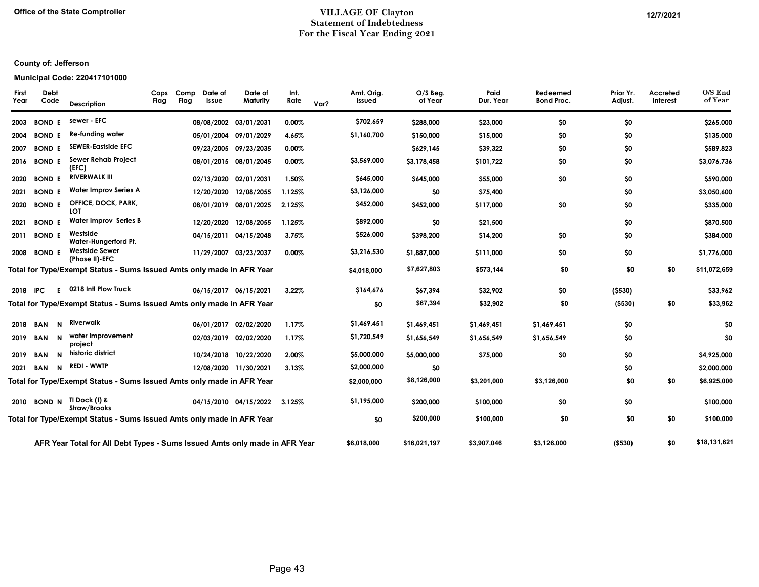#### Office of the State Comptroller **Number 2004** 2021 2021 Statement of Indebtedness For the Fiscal Year Ending 2021

# County of: Jefferson

#### Municipal Code: 220417101000

| First<br>Year | Debt<br>Code               | <b>Description</b>                                                         | Cops<br>Flag | Comp<br>Flag | Date of<br>Issue | Date of<br>Maturity   | Int.<br>Rate | Var? | Amt. Orig.<br>Issued | $O/S$ Beg.<br>of Year | Paid<br>Dur. Year | Redeemed<br><b>Bond Proc.</b> | Prior Yr.<br>Adjust. | Accreted<br>Interest | O/S End<br>of Year |
|---------------|----------------------------|----------------------------------------------------------------------------|--------------|--------------|------------------|-----------------------|--------------|------|----------------------|-----------------------|-------------------|-------------------------------|----------------------|----------------------|--------------------|
| 2003          | <b>BOND E</b>              | sewer - EFC                                                                |              |              |                  | 08/08/2002 03/01/2031 | 0.00%        |      | \$702,659            | \$288,000             | \$23,000          | \$0                           | \$0                  |                      | \$265,000          |
| 2004          | <b>BOND E</b>              | Re-funding water                                                           |              |              |                  | 05/01/2004 09/01/2029 | 4.65%        |      | \$1,160,700          | \$150,000             | \$15,000          | \$0                           | \$0                  |                      | \$135,000          |
| 2007          | <b>BOND E</b>              | <b>SEWER-Eastside EFC</b>                                                  |              |              |                  | 09/23/2005 09/23/2035 | 0.00%        |      |                      | \$629,145             | \$39,322          | \$0                           | \$0                  |                      | \$589,823          |
| 2016          | <b>BOND E</b>              | Sewer Rehab Project<br>(EFC)                                               |              |              |                  | 08/01/2015 08/01/2045 | 0.00%        |      | \$3,569,000          | \$3,178,458           | \$101,722         | \$0                           | \$0                  |                      | \$3,076,736        |
| 2020          | <b>BOND E</b>              | <b>RIVERWALK III</b>                                                       |              |              |                  | 02/13/2020 02/01/2031 | 1.50%        |      | \$645,000            | \$645,000             | \$55,000          | \$0                           | \$0                  |                      | \$590,000          |
| 2021          | <b>BOND E</b>              | <b>Water Improv Series A</b>                                               |              |              |                  | 12/20/2020 12/08/2055 | 1.125%       |      | \$3,126,000          | \$0                   | \$75,400          |                               | \$0                  |                      | \$3,050,600        |
| 2020          | <b>BOND E</b>              | <b>OFFICE, DOCK, PARK,</b><br>LOT                                          |              |              |                  | 08/01/2019 08/01/2025 | 2.125%       |      | \$452,000            | \$452,000             | \$117,000         | \$0                           | \$0                  |                      | \$335,000          |
| 2021          | <b>BOND E</b>              | <b>Water Improv Series B</b>                                               |              |              |                  | 12/20/2020 12/08/2055 | 1.125%       |      | \$892,000            | \$0                   | \$21,500          |                               | \$0                  |                      | \$870,500          |
| 2011          | <b>BOND E</b>              | Westside<br>Water-Hungerford Pt.                                           |              |              |                  | 04/15/2011 04/15/2048 | 3.75%        |      | \$526,000            | \$398,200             | \$14,200          | \$0                           | \$0                  |                      | \$384,000          |
| 2008          | <b>BOND E</b>              | <b>Westside Sewer</b><br>(Phase II)-EFC                                    |              |              |                  | 11/29/2007 03/23/2037 | 0.00%        |      | \$3,216,530          | \$1,887,000           | \$111,000         | \$0                           | \$0                  |                      | \$1,776,000        |
|               |                            | Total for Type/Exempt Status - Sums Issued Amts only made in AFR Year      |              |              |                  |                       |              |      | \$4,018,000          | \$7,627,803           | \$573,144         | \$0                           | \$0                  | \$0                  | \$11,072,659       |
| 2018          | F.<br>IPC.                 | 0218 Intl Plow Truck                                                       |              |              |                  | 06/15/2017 06/15/2021 | 3.22%        |      | \$164,676            | \$67,394              | \$32,902          | \$0                           | (5530)               |                      | \$33,962           |
|               |                            | Total for Type/Exempt Status - Sums Issued Amts only made in AFR Year      |              |              |                  |                       |              |      | \$0                  | \$67,394              | \$32,902          | \$0                           | ( \$530)             | \$0                  | \$33,962           |
| 2018          | <b>BAN</b><br>N            | Riverwalk                                                                  |              |              |                  | 06/01/2017 02/02/2020 | 1.17%        |      | \$1,469,451          | \$1,469,451           | \$1,469,451       | \$1,469,451                   | \$0                  |                      | \$0                |
| 2019          | N<br><b>BAN</b>            | water improvement<br>project                                               |              |              |                  | 02/03/2019 02/02/2020 | 1.17%        |      | \$1,720,549          | \$1,656,549           | \$1,656,549       | \$1,656,549                   | \$0                  |                      | \$0                |
| 2019          | $\mathbf N$<br><b>BAN</b>  | historic district                                                          |              |              |                  | 10/24/2018 10/22/2020 | 2.00%        |      | \$5,000,000          | \$5,000,000           | \$75,000          | \$0                           | \$0                  |                      | \$4,925,000        |
| 2021          | $\mathsf{N}$<br><b>BAN</b> | REDI - WWTP                                                                |              |              |                  | 12/08/2020 11/30/2021 | 3.13%        |      | \$2,000,000          | \$0                   |                   |                               | \$0                  |                      | \$2,000,000        |
|               |                            | Total for Type/Exempt Status - Sums Issued Amts only made in AFR Year      |              |              |                  |                       |              |      | \$2,000,000          | \$8,126,000           | \$3,201,000       | \$3,126,000                   | \$0                  | \$0                  | \$6,925,000        |
| 2010          | <b>BOND N</b>              | TI Dock (I) &<br>Straw/Brooks                                              |              |              |                  | 04/15/2010 04/15/2022 | 3.125%       |      | \$1,195,000          | \$200,000             | \$100,000         | \$0                           | \$0                  |                      | \$100,000          |
|               |                            | Total for Type/Exempt Status - Sums Issued Amts only made in AFR Year      |              |              |                  |                       |              |      | \$0                  | \$200,000             | \$100,000         | \$0                           | \$0                  | \$0                  | \$100,000          |
|               |                            | AFR Year Total for All Debt Types - Sums Issued Amts only made in AFR Year |              |              |                  |                       |              |      | \$6,018,000          | \$16,021,197          | \$3,907,046       | \$3,126,000                   | ( \$530)             | \$0                  | \$18,131,621       |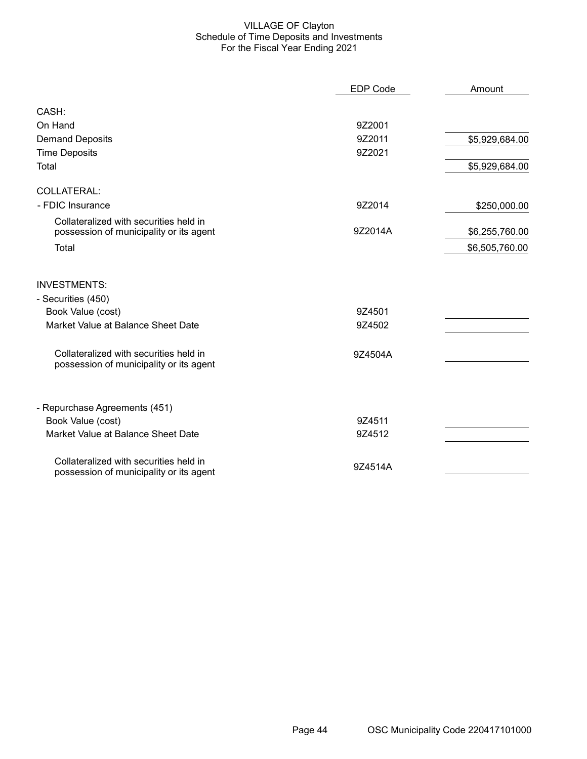#### VILLAGE OF Clayton Schedule of Time Deposits and Investments For the Fiscal Year Ending 2021

|                                                                                   | <b>EDP Code</b> | Amount         |
|-----------------------------------------------------------------------------------|-----------------|----------------|
| CASH:                                                                             |                 |                |
| On Hand                                                                           | 9Z2001          |                |
| <b>Demand Deposits</b>                                                            | 9Z2011          | \$5,929,684.00 |
| <b>Time Deposits</b>                                                              | 9Z2021          |                |
| Total                                                                             |                 | \$5,929,684.00 |
| COLLATERAL:                                                                       |                 |                |
| - FDIC Insurance                                                                  | 9Z2014          | \$250,000.00   |
| Collateralized with securities held in<br>possession of municipality or its agent | 9Z2014A         | \$6,255,760.00 |
| Total                                                                             |                 | \$6,505,760.00 |
| <b>INVESTMENTS:</b>                                                               |                 |                |
| - Securities (450)                                                                |                 |                |
| Book Value (cost)                                                                 | 9Z4501          |                |
| Market Value at Balance Sheet Date                                                | 9Z4502          |                |
| Collateralized with securities held in<br>possession of municipality or its agent | 9Z4504A         |                |
| - Repurchase Agreements (451)                                                     |                 |                |
| Book Value (cost)                                                                 | 9Z4511          |                |
| Market Value at Balance Sheet Date                                                | 9Z4512          |                |
| Collateralized with securities held in<br>possession of municipality or its agent | 9Z4514A         |                |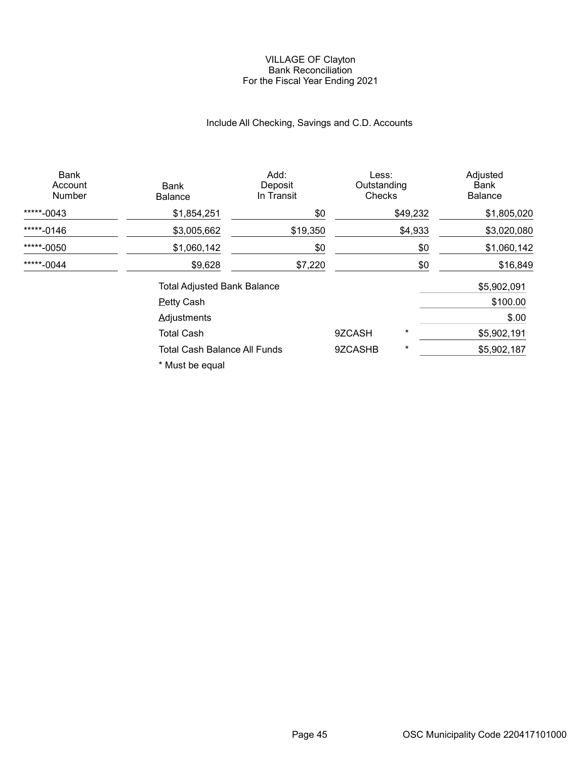#### VILLAGE OF Clayton Bank Reconciliation For the Fiscal Year Ending 2021

# Include All Checking, Savings and C.D. Accounts

| Bank<br>Account<br><b>Number</b> | Bank<br><b>Balance</b>              | Add:<br>Deposit<br>In Transit | Less:<br>Outstanding<br>Checks |          | Adjusted<br>Bank<br><b>Balance</b> |
|----------------------------------|-------------------------------------|-------------------------------|--------------------------------|----------|------------------------------------|
| *****-0043                       | \$1,854,251                         | \$0                           |                                | \$49,232 | \$1,805,020                        |
| *****-0146                       | \$3,005,662                         | \$19,350                      |                                | \$4,933  | \$3,020,080                        |
| *****-0050                       | \$1,060,142                         | \$0                           |                                | \$0      | \$1,060,142                        |
| *****-0044                       | \$9,628                             | \$7,220                       |                                | \$0      | \$16,849                           |
|                                  | <b>Total Adjusted Bank Balance</b>  | \$5,902,091                   |                                |          |                                    |
|                                  | <b>Petty Cash</b>                   |                               |                                |          | \$100.00                           |
|                                  | Adjustments                         |                               |                                |          | \$.00                              |
|                                  | <b>Total Cash</b>                   |                               | 9ZCASH                         | $^\star$ | \$5,902,191                        |
|                                  | <b>Total Cash Balance All Funds</b> |                               | 9ZCASHB                        | $^\star$ | \$5,902,187                        |
|                                  |                                     |                               |                                |          |                                    |

\* Must be equal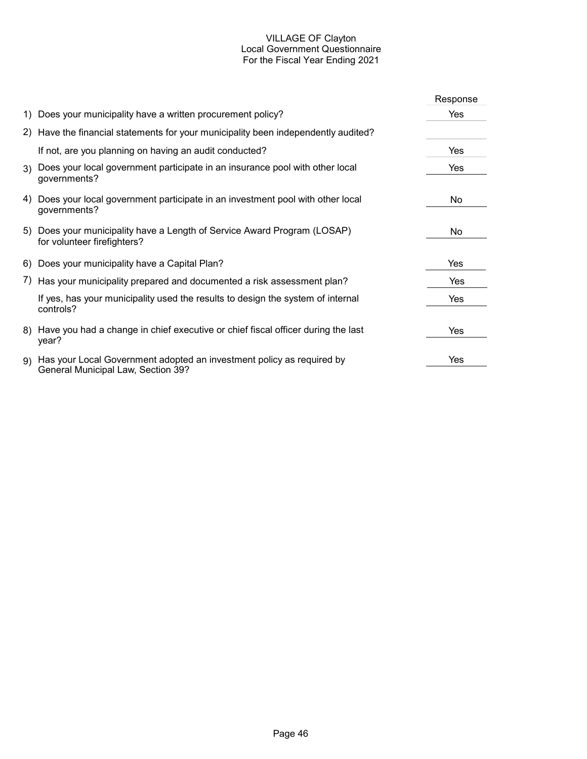# VILLAGE OF Clayton Local Government Questionnaire For the Fiscal Year Ending 2021

|    |                                                                                                             | Response |
|----|-------------------------------------------------------------------------------------------------------------|----------|
|    | 1) Does your municipality have a written procurement policy?                                                | Yes      |
|    | 2) Have the financial statements for your municipality been independently audited?                          |          |
|    | If not, are you planning on having an audit conducted?                                                      | Yes      |
|    | 3) Does your local government participate in an insurance pool with other local<br>governments?             | Yes      |
| 4) | Does your local government participate in an investment pool with other local<br>governments?               | No.      |
|    | 5) Does your municipality have a Length of Service Award Program (LOSAP)<br>for volunteer firefighters?     | No.      |
|    | 6) Does your municipality have a Capital Plan?                                                              | Yes      |
|    | 7) Has your municipality prepared and documented a risk assessment plan?                                    | Yes      |
|    | If yes, has your municipality used the results to design the system of internal<br>controls?                | Yes      |
|    | 8) Have you had a change in chief executive or chief fiscal officer during the last<br>year?                | Yes      |
| 9) | Has your Local Government adopted an investment policy as required by<br>General Municipal Law, Section 39? | Yes      |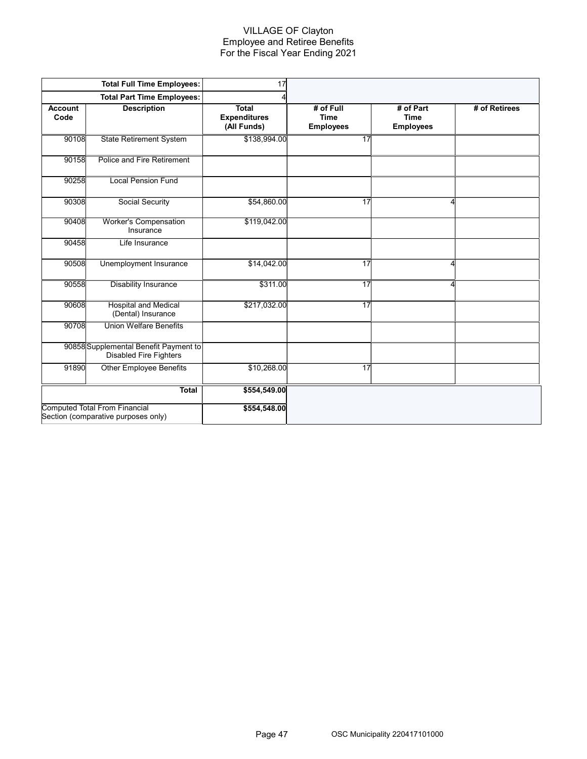#### VILLAGE OF Clayton Employee and Retiree Benefits For the Fiscal Year Ending 2021

|                        | <b>Total Full Time Employees:</b>                                           | 17                                                 |                                              |                                              |               |
|------------------------|-----------------------------------------------------------------------------|----------------------------------------------------|----------------------------------------------|----------------------------------------------|---------------|
|                        | <b>Total Part Time Employees:</b>                                           |                                                    |                                              |                                              |               |
| <b>Account</b><br>Code | <b>Description</b>                                                          | <b>Total</b><br><b>Expenditures</b><br>(All Funds) | # of Full<br><b>Time</b><br><b>Employees</b> | # of Part<br><b>Time</b><br><b>Employees</b> | # of Retirees |
| 90108                  | <b>State Retirement System</b>                                              | \$138,994.00                                       | 17                                           |                                              |               |
| 90158                  | Police and Fire Retirement                                                  |                                                    |                                              |                                              |               |
| 90258                  | <b>Local Pension Fund</b>                                                   |                                                    |                                              |                                              |               |
| 90308                  | Social Security                                                             | \$54,860.00                                        | 17                                           | 4                                            |               |
| 90408                  | <b>Worker's Compensation</b><br>Insurance                                   | \$119,042.00                                       |                                              |                                              |               |
| 90458                  | Life Insurance                                                              |                                                    |                                              |                                              |               |
| 90508                  | Unemployment Insurance                                                      | \$14,042.00                                        | 17                                           | 4                                            |               |
| 90558                  | <b>Disability Insurance</b>                                                 | \$311.00                                           | 17                                           | 4                                            |               |
| 90608                  | <b>Hospital and Medical</b><br>(Dental) Insurance                           | \$217,032.00                                       | 17                                           |                                              |               |
| 90708                  | <b>Union Welfare Benefits</b>                                               |                                                    |                                              |                                              |               |
|                        | 90858 Supplemental Benefit Payment to<br>Disabled Fire Fighters             |                                                    |                                              |                                              |               |
| 91890                  | <b>Other Employee Benefits</b>                                              | \$10,268.00                                        | 17                                           |                                              |               |
|                        | <b>Total</b>                                                                | \$554,549.00                                       |                                              |                                              |               |
|                        | <b>Computed Total From Financial</b><br>Section (comparative purposes only) | \$554,548.00                                       |                                              |                                              |               |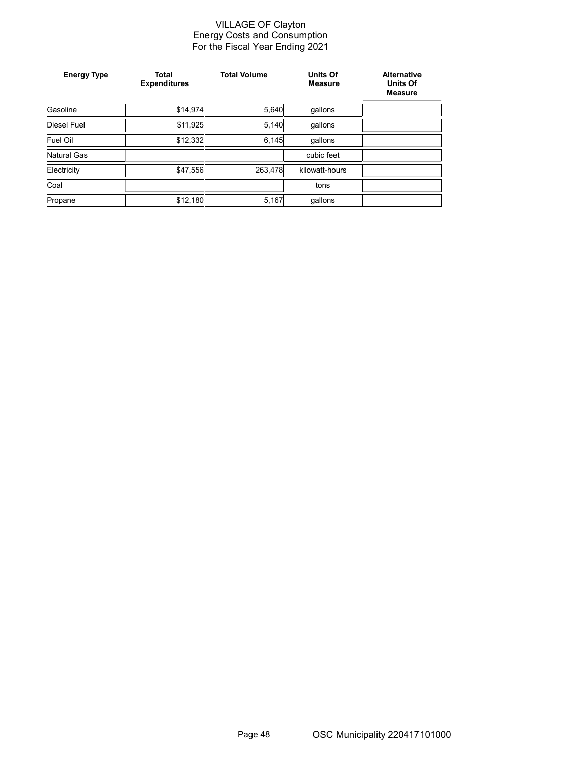#### VILLAGE OF Clayton Energy Costs and Consumption For the Fiscal Year Ending 2021

| <b>Energy Type</b> | <b>Total</b><br><b>Expenditures</b> | <b>Total Volume</b> | <b>Units Of</b><br><b>Measure</b> | <b>Alternative</b><br><b>Units Of</b><br><b>Measure</b> |
|--------------------|-------------------------------------|---------------------|-----------------------------------|---------------------------------------------------------|
| Gasoline           | \$14,974                            | 5,640               | gallons                           |                                                         |
| Diesel Fuel        | \$11,925                            | 5,140               | qallons                           |                                                         |
| Fuel Oil           | \$12,332                            | 6,145               | qallons                           |                                                         |
| Natural Gas        |                                     |                     | cubic feet                        |                                                         |
| Electricity        | \$47,556                            | 263,478             | kilowatt-hours                    |                                                         |
| Coal               |                                     |                     | tons                              |                                                         |
| Propane            | \$12,180                            | 5,167               | qallons                           |                                                         |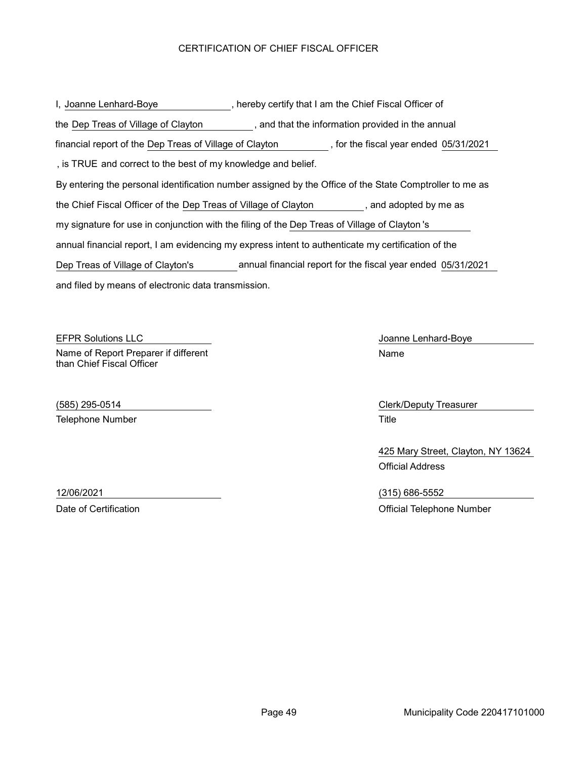# CERTIFICATION OF CHIEF FISCAL OFFICER

| I, Joanne Lenhard-Boye                                                                                  |  | , hereby certify that I am the Chief Fiscal Officer of |
|---------------------------------------------------------------------------------------------------------|--|--------------------------------------------------------|
| the Dep Treas of Village of Clayton<br>, and that the information provided in the annual                |  |                                                        |
| financial report of the Dep Treas of Village of Clayton                                                 |  | , for the fiscal year ended 05/31/2021                 |
| , is TRUE and correct to the best of my knowledge and belief.                                           |  |                                                        |
| By entering the personal identification number assigned by the Office of the State Comptroller to me as |  |                                                        |
| the Chief Fiscal Officer of the Dep Treas of Village of Clayton                                         |  | , and adopted by me as                                 |
| my signature for use in conjunction with the filing of the Dep Treas of Village of Clayton 's           |  |                                                        |
| annual financial report, I am evidencing my express intent to authenticate my certification of the      |  |                                                        |
| annual financial report for the fiscal year ended 05/31/2021<br>Dep Treas of Village of Clayton's       |  |                                                        |
| and filed by means of electronic data transmission.                                                     |  |                                                        |

EFPR Solutions LLC **CONTACT CONTACT CONTACT CONTACT CONTACT CONTACT CONTACT CONTACT CONTACT CONTACT CONTACT CONTACT CONTACT CONTACT CONTACT CONTACT CONTACT CONTACT CONTACT CONTACT CONTACT CONTACT CONTACT CONTACT CONTACT CO** Name of Report Preparer if different than Chief Fiscal Officer

Telephone Number Title

Name

(585) 295-0514 Clerk/Deputy Treasurer

425 Mary Street, Clayton, NY 13624 Official Address

12/06/2021 (315) 686-5552 Date of Certification **Date of Certification Official Telephone Number**